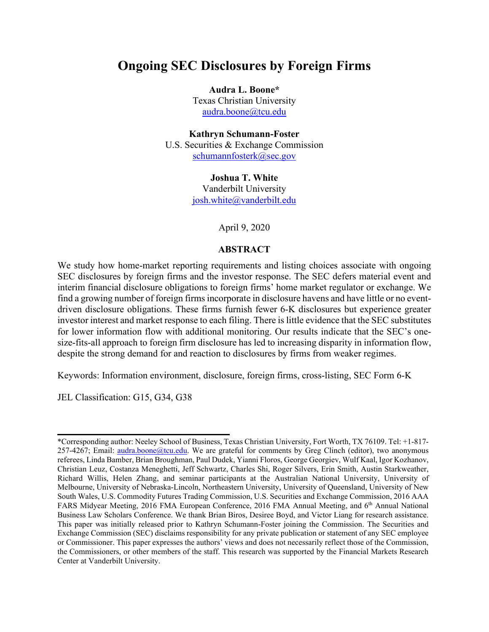# **Ongoing SEC Disclosures by Foreign Firms**

**Audra L. Boone\***

Texas Christian University [audra.boone@](mailto:BooneA@sec.gov)tcu.edu

**Kathryn Schumann-Foster** U.S. Securities & Exchange Commission [schumannfosterk@sec.gov](mailto:schumannfosterk@sec.gov)

> **Joshua T. White** Vanderbilt University [josh.white@vanderbilt.edu](mailto:josh.white@vanderbilt.edu)

> > April 9, 2020

# **ABSTRACT**

We study how home-market reporting requirements and listing choices associate with ongoing SEC disclosures by foreign firms and the investor response. The SEC defers material event and interim financial disclosure obligations to foreign firms' home market regulator or exchange. We find a growing number of foreign firms incorporate in disclosure havens and have little or no eventdriven disclosure obligations. These firms furnish fewer 6-K disclosures but experience greater investor interest and market response to each filing. There is little evidence that the SEC substitutes for lower information flow with additional monitoring. Our results indicate that the SEC's onesize-fits-all approach to foreign firm disclosure has led to increasing disparity in information flow, despite the strong demand for and reaction to disclosures by firms from weaker regimes.

Keywords: Information environment, disclosure, foreign firms, cross-listing, SEC Form 6-K

JEL Classification: G15, G34, G38

<sup>\*</sup>Corresponding author: Neeley School of Business, Texas Christian University, Fort Worth, TX 76109. Tel: +1-817 257-4267; Email: [audra.boone@tcu.edu.](mailto:audra.boone@tcu.edu) We are grateful for comments by Greg Clinch (editor), two anonymous referees, Linda Bamber, Brian Broughman, Paul Dudek, Yianni Floros, George Georgiev, Wulf Kaal, Igor Kozhanov, Christian Leuz, Costanza Meneghetti, Jeff Schwartz, Charles Shi, Roger Silvers, Erin Smith, Austin Starkweather, Richard Willis, Helen Zhang, and seminar participants at the Australian National University, University of Melbourne, University of Nebraska-Lincoln, Northeastern University, University of Queensland, University of New South Wales, U.S. Commodity Futures Trading Commission, U.S. Securities and Exchange Commission, 2016 AAA FARS Midyear Meeting, 2016 FMA European Conference, 2016 FMA Annual Meeting, and 6<sup>th</sup> Annual National Business Law Scholars Conference. We thank Brian Biros, Desiree Boyd, and Victor Liang for research assistance. This paper was initially released prior to Kathryn Schumann-Foster joining the Commission. The Securities and Exchange Commission (SEC) disclaims responsibility for any private publication or statement of any SEC employee or Commissioner. This paper expresses the authors' views and does not necessarily reflect those of the Commission, the Commissioners, or other members of the staff. This research was supported by the Financial Markets Research Center at Vanderbilt University.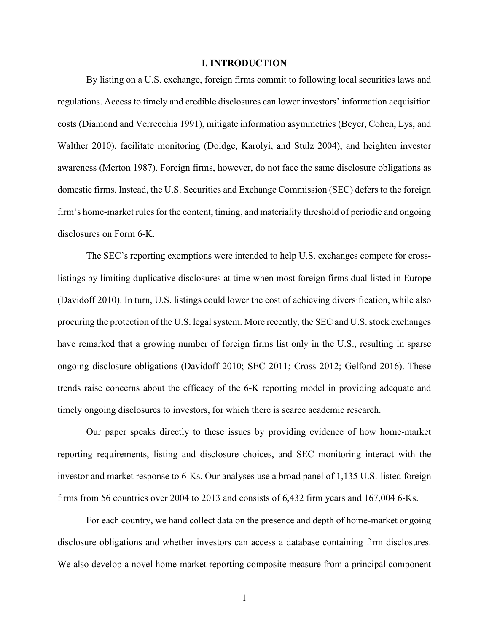# **I. INTRODUCTION**

By listing on a U.S. exchange, foreign firms commit to following local securities laws and regulations. Access to timely and credible disclosures can lower investors' information acquisition costs (Diamond and Verrecchia 1991), mitigate information asymmetries (Beyer, Cohen, Lys, and Walther 2010), facilitate monitoring (Doidge, Karolyi, and Stulz 2004), and heighten investor awareness (Merton 1987). Foreign firms, however, do not face the same disclosure obligations as domestic firms. Instead, the U.S. Securities and Exchange Commission (SEC) defers to the foreign firm's home-market rules for the content, timing, and materiality threshold of periodic and ongoing disclosures on Form 6-K.

The SEC's reporting exemptions were intended to help U.S. exchanges compete for crosslistings by limiting duplicative disclosures at time when most foreign firms dual listed in Europe (Davidoff 2010). In turn, U.S. listings could lower the cost of achieving diversification, while also procuring the protection of the U.S. legal system. More recently, the SEC and U.S. stock exchanges have remarked that a growing number of foreign firms list only in the U.S., resulting in sparse ongoing disclosure obligations (Davidoff 2010; SEC 2011; Cross 2012; Gelfond 2016). These trends raise concerns about the efficacy of the 6-K reporting model in providing adequate and timely ongoing disclosures to investors, for which there is scarce academic research.

Our paper speaks directly to these issues by providing evidence of how home-market reporting requirements, listing and disclosure choices, and SEC monitoring interact with the investor and market response to 6-Ks. Our analyses use a broad panel of 1,135 U.S.-listed foreign firms from 56 countries over 2004 to 2013 and consists of 6,432 firm years and 167,004 6-Ks.

For each country, we hand collect data on the presence and depth of home-market ongoing disclosure obligations and whether investors can access a database containing firm disclosures. We also develop a novel home-market reporting composite measure from a principal component

1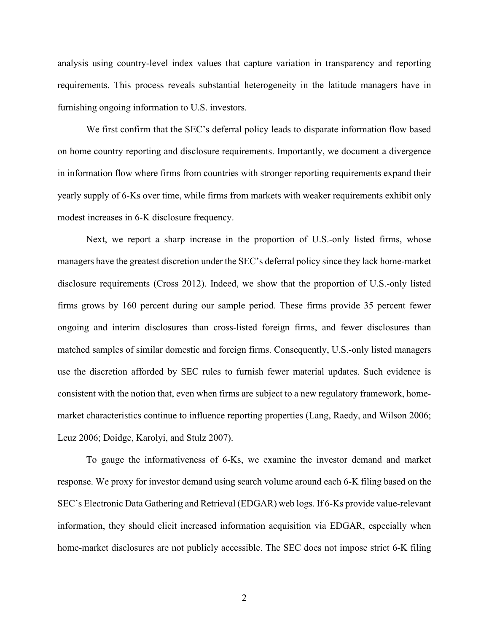analysis using country-level index values that capture variation in transparency and reporting requirements. This process reveals substantial heterogeneity in the latitude managers have in furnishing ongoing information to U.S. investors.

We first confirm that the SEC's deferral policy leads to disparate information flow based on home country reporting and disclosure requirements. Importantly, we document a divergence in information flow where firms from countries with stronger reporting requirements expand their yearly supply of 6-Ks over time, while firms from markets with weaker requirements exhibit only modest increases in 6-K disclosure frequency.

Next, we report a sharp increase in the proportion of U.S.-only listed firms, whose managers have the greatest discretion under the SEC's deferral policy since they lack home-market disclosure requirements (Cross 2012). Indeed, we show that the proportion of U.S.-only listed firms grows by 160 percent during our sample period. These firms provide 35 percent fewer ongoing and interim disclosures than cross-listed foreign firms, and fewer disclosures than matched samples of similar domestic and foreign firms. Consequently, U.S.-only listed managers use the discretion afforded by SEC rules to furnish fewer material updates. Such evidence is consistent with the notion that, even when firms are subject to a new regulatory framework, homemarket characteristics continue to influence reporting properties (Lang, Raedy, and Wilson 2006; Leuz 2006; Doidge, Karolyi, and Stulz 2007).

To gauge the informativeness of 6-Ks, we examine the investor demand and market response. We proxy for investor demand using search volume around each 6-K filing based on the SEC's Electronic Data Gathering and Retrieval (EDGAR) web logs. If 6-Ks provide value-relevant information, they should elicit increased information acquisition via EDGAR, especially when home-market disclosures are not publicly accessible. The SEC does not impose strict 6-K filing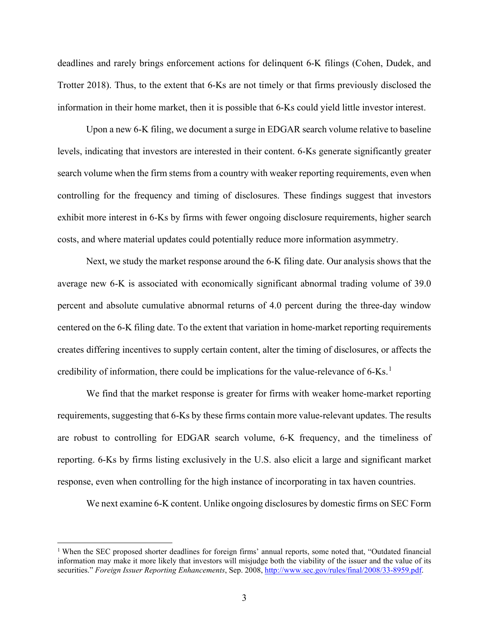deadlines and rarely brings enforcement actions for delinquent 6-K filings (Cohen, Dudek, and Trotter 2018). Thus, to the extent that 6-Ks are not timely or that firms previously disclosed the information in their home market, then it is possible that 6-Ks could yield little investor interest.

Upon a new 6-K filing, we document a surge in EDGAR search volume relative to baseline levels, indicating that investors are interested in their content. 6-Ks generate significantly greater search volume when the firm stems from a country with weaker reporting requirements, even when controlling for the frequency and timing of disclosures. These findings suggest that investors exhibit more interest in 6-Ks by firms with fewer ongoing disclosure requirements, higher search costs, and where material updates could potentially reduce more information asymmetry.

Next, we study the market response around the 6-K filing date. Our analysis shows that the average new 6-K is associated with economically significant abnormal trading volume of 39.0 percent and absolute cumulative abnormal returns of 4.0 percent during the three-day window centered on the 6-K filing date. To the extent that variation in home-market reporting requirements creates differing incentives to supply certain content, alter the timing of disclosures, or affects the credibility of information, there could be implications for the value-relevance of 6-Ks.<sup>[1](#page-3-0)</sup>

We find that the market response is greater for firms with weaker home-market reporting requirements, suggesting that 6-Ks by these firms contain more value-relevant updates. The results are robust to controlling for EDGAR search volume, 6-K frequency, and the timeliness of reporting. 6-Ks by firms listing exclusively in the U.S. also elicit a large and significant market response, even when controlling for the high instance of incorporating in tax haven countries.

We next examine 6-K content. Unlike ongoing disclosures by domestic firms on SEC Form

<span id="page-3-0"></span><sup>&</sup>lt;sup>1</sup> When the SEC proposed shorter deadlines for foreign firms' annual reports, some noted that, "Outdated financial" information may make it more likely that investors will misjudge both the viability of the issuer and the value of its securities." *Foreign Issuer Reporting Enhancements*, Sep. 2008[, http://www.sec.gov/rules/final/2008/33-8959.pdf.](https://www.sec.gov/rules/final/2008/33-8959.pdf)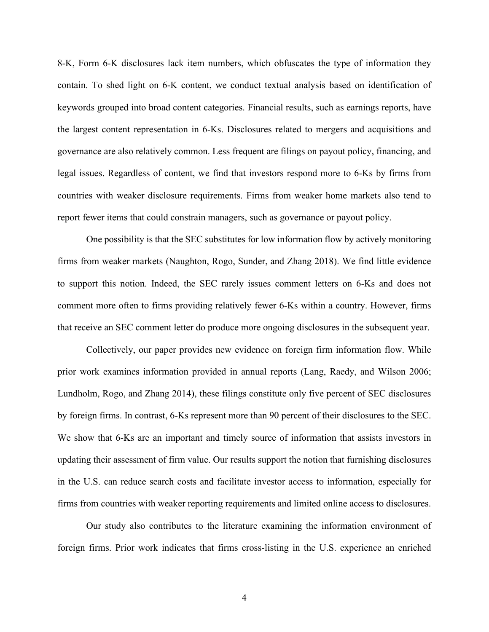8-K, Form 6-K disclosures lack item numbers, which obfuscates the type of information they contain. To shed light on 6-K content, we conduct textual analysis based on identification of keywords grouped into broad content categories. Financial results, such as earnings reports, have the largest content representation in 6-Ks. Disclosures related to mergers and acquisitions and governance are also relatively common. Less frequent are filings on payout policy, financing, and legal issues. Regardless of content, we find that investors respond more to 6-Ks by firms from countries with weaker disclosure requirements. Firms from weaker home markets also tend to report fewer items that could constrain managers, such as governance or payout policy.

One possibility is that the SEC substitutes for low information flow by actively monitoring firms from weaker markets (Naughton, Rogo, Sunder, and Zhang 2018). We find little evidence to support this notion. Indeed, the SEC rarely issues comment letters on 6-Ks and does not comment more often to firms providing relatively fewer 6-Ks within a country. However, firms that receive an SEC comment letter do produce more ongoing disclosures in the subsequent year.

Collectively, our paper provides new evidence on foreign firm information flow. While prior work examines information provided in annual reports (Lang, Raedy, and Wilson 2006; Lundholm, Rogo, and Zhang 2014), these filings constitute only five percent of SEC disclosures by foreign firms. In contrast, 6-Ks represent more than 90 percent of their disclosures to the SEC. We show that 6-Ks are an important and timely source of information that assists investors in updating their assessment of firm value. Our results support the notion that furnishing disclosures in the U.S. can reduce search costs and facilitate investor access to information, especially for firms from countries with weaker reporting requirements and limited online access to disclosures.

Our study also contributes to the literature examining the information environment of foreign firms. Prior work indicates that firms cross-listing in the U.S. experience an enriched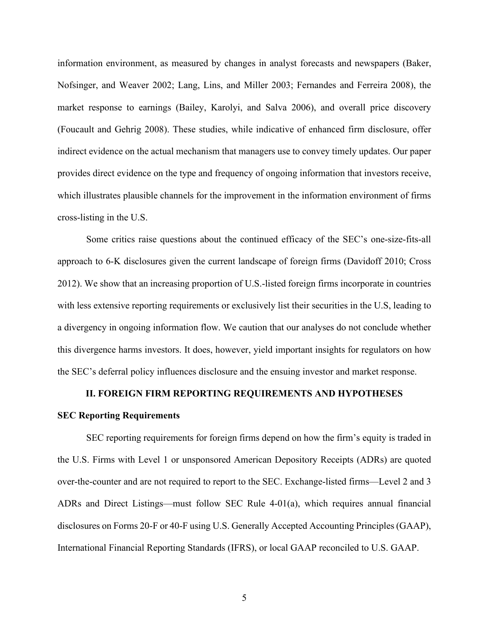information environment, as measured by changes in analyst forecasts and newspapers (Baker, Nofsinger, and Weaver 2002; Lang, Lins, and Miller 2003; Fernandes and Ferreira 2008), the market response to earnings (Bailey, Karolyi, and Salva 2006), and overall price discovery (Foucault and Gehrig 2008). These studies, while indicative of enhanced firm disclosure, offer indirect evidence on the actual mechanism that managers use to convey timely updates. Our paper provides direct evidence on the type and frequency of ongoing information that investors receive, which illustrates plausible channels for the improvement in the information environment of firms cross-listing in the U.S.

Some critics raise questions about the continued efficacy of the SEC's one-size-fits-all approach to 6-K disclosures given the current landscape of foreign firms (Davidoff 2010; Cross 2012). We show that an increasing proportion of U.S.-listed foreign firms incorporate in countries with less extensive reporting requirements or exclusively list their securities in the U.S, leading to a divergency in ongoing information flow. We caution that our analyses do not conclude whether this divergence harms investors. It does, however, yield important insights for regulators on how the SEC's deferral policy influences disclosure and the ensuing investor and market response.

## **II. FOREIGN FIRM REPORTING REQUIREMENTS AND HYPOTHESES**

#### **SEC Reporting Requirements**

SEC reporting requirements for foreign firms depend on how the firm's equity is traded in the U.S. Firms with Level 1 or unsponsored American Depository Receipts (ADRs) are quoted over-the-counter and are not required to report to the SEC. Exchange-listed firms—Level 2 and 3 ADRs and Direct Listings—must follow SEC Rule 4-01(a), which requires annual financial disclosures on Forms 20-F or 40-F using U.S. Generally Accepted Accounting Principles (GAAP), International Financial Reporting Standards (IFRS), or local GAAP reconciled to U.S. GAAP.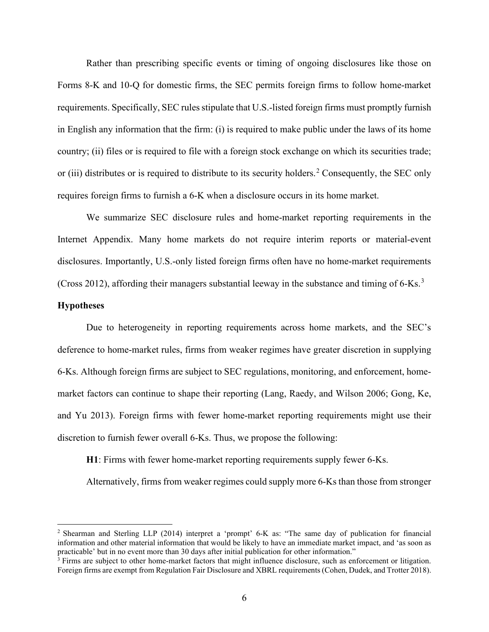Rather than prescribing specific events or timing of ongoing disclosures like those on Forms 8-K and 10-Q for domestic firms, the SEC permits foreign firms to follow home-market requirements. Specifically, SEC rules stipulate that U.S.-listed foreign firms must promptly furnish in English any information that the firm: (i) is required to make public under the laws of its home country; (ii) files or is required to file with a foreign stock exchange on which its securities trade; or (iii) distributes or is required to distribute to its security holders.<sup>[2](#page-6-0)</sup> Consequently, the SEC only requires foreign firms to furnish a 6-K when a disclosure occurs in its home market.

We summarize SEC disclosure rules and home-market reporting requirements in the Internet Appendix. Many home markets do not require interim reports or material-event disclosures. Importantly, U.S.-only listed foreign firms often have no home-market requirements (Cross 2012), affording their managers substantial leeway in the substance and timing of 6-Ks.<sup>[3](#page-6-1)</sup>

#### **Hypotheses**

Due to heterogeneity in reporting requirements across home markets, and the SEC's deference to home-market rules, firms from weaker regimes have greater discretion in supplying 6-Ks. Although foreign firms are subject to SEC regulations, monitoring, and enforcement, homemarket factors can continue to shape their reporting (Lang, Raedy, and Wilson 2006; Gong, Ke, and Yu 2013). Foreign firms with fewer home-market reporting requirements might use their discretion to furnish fewer overall 6-Ks. Thus, we propose the following:

**H1**: Firms with fewer home-market reporting requirements supply fewer 6-Ks.

Alternatively, firms from weaker regimes could supply more 6-Ks than those from stronger

<span id="page-6-0"></span><sup>2</sup> Shearman and Sterling LLP (2014) interpret a 'prompt' 6-K as: "The same day of publication for financial information and other material information that would be likely to have an immediate market impact, and 'as soon as practicable' but in no event more than 30 days after initial publication for other information."

<span id="page-6-1"></span><sup>&</sup>lt;sup>3</sup> Firms are subject to other home-market factors that might influence disclosure, such as enforcement or litigation. Foreign firms are exempt from Regulation Fair Disclosure and XBRL requirements (Cohen, Dudek, and Trotter 2018).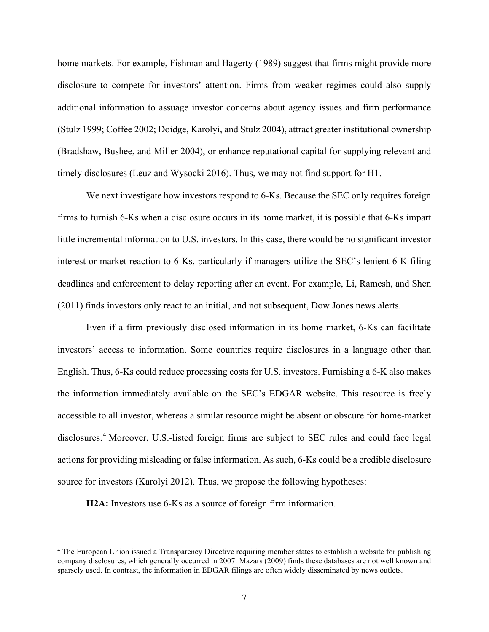home markets. For example, Fishman and Hagerty (1989) suggest that firms might provide more disclosure to compete for investors' attention. Firms from weaker regimes could also supply additional information to assuage investor concerns about agency issues and firm performance (Stulz 1999; Coffee 2002; Doidge, Karolyi, and Stulz 2004), attract greater institutional ownership (Bradshaw, Bushee, and Miller 2004), or enhance reputational capital for supplying relevant and timely disclosures (Leuz and Wysocki 2016). Thus, we may not find support for H1.

We next investigate how investors respond to 6-Ks. Because the SEC only requires foreign firms to furnish 6-Ks when a disclosure occurs in its home market, it is possible that 6-Ks impart little incremental information to U.S. investors. In this case, there would be no significant investor interest or market reaction to 6-Ks, particularly if managers utilize the SEC's lenient 6-K filing deadlines and enforcement to delay reporting after an event. For example, Li, Ramesh, and Shen (2011) finds investors only react to an initial, and not subsequent, Dow Jones news alerts.

Even if a firm previously disclosed information in its home market, 6-Ks can facilitate investors' access to information. Some countries require disclosures in a language other than English. Thus, 6-Ks could reduce processing costs for U.S. investors. Furnishing a 6-K also makes the information immediately available on the SEC's EDGAR website. This resource is freely accessible to all investor, whereas a similar resource might be absent or obscure for home-market disclosures.<sup>[4](#page-7-0)</sup> Moreover, U.S.-listed foreign firms are subject to SEC rules and could face legal actions for providing misleading or false information. As such, 6-Ks could be a credible disclosure source for investors (Karolyi 2012). Thus, we propose the following hypotheses:

**H2A:** Investors use 6-Ks as a source of foreign firm information.

<span id="page-7-0"></span><sup>4</sup> The European Union issued a Transparency Directive requiring member states to establish a website for publishing company disclosures, which generally occurred in 2007. Mazars (2009) finds these databases are not well known and sparsely used. In contrast, the information in EDGAR filings are often widely disseminated by news outlets.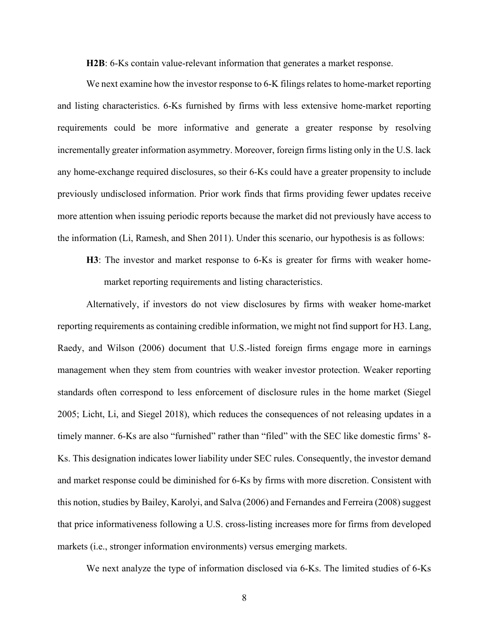**H2B**: 6-Ks contain value-relevant information that generates a market response.

We next examine how the investor response to 6-K filings relates to home-market reporting and listing characteristics. 6-Ks furnished by firms with less extensive home-market reporting requirements could be more informative and generate a greater response by resolving incrementally greater information asymmetry. Moreover, foreign firms listing only in the U.S. lack any home-exchange required disclosures, so their 6-Ks could have a greater propensity to include previously undisclosed information. Prior work finds that firms providing fewer updates receive more attention when issuing periodic reports because the market did not previously have access to the information (Li, Ramesh, and Shen 2011). Under this scenario, our hypothesis is as follows:

**H3**: The investor and market response to 6-Ks is greater for firms with weaker homemarket reporting requirements and listing characteristics.

Alternatively, if investors do not view disclosures by firms with weaker home-market reporting requirements as containing credible information, we might not find support for H3. Lang, Raedy, and Wilson (2006) document that U.S.-listed foreign firms engage more in earnings management when they stem from countries with weaker investor protection. Weaker reporting standards often correspond to less enforcement of disclosure rules in the home market (Siegel 2005; Licht, Li, and Siegel 2018), which reduces the consequences of not releasing updates in a timely manner. 6-Ks are also "furnished" rather than "filed" with the SEC like domestic firms' 8- Ks. This designation indicates lower liability under SEC rules. Consequently, the investor demand and market response could be diminished for 6-Ks by firms with more discretion. Consistent with this notion, studies by Bailey, Karolyi, and Salva (2006) and Fernandes and Ferreira (2008) suggest that price informativeness following a U.S. cross-listing increases more for firms from developed markets (i.e., stronger information environments) versus emerging markets.

We next analyze the type of information disclosed via 6-Ks. The limited studies of 6-Ks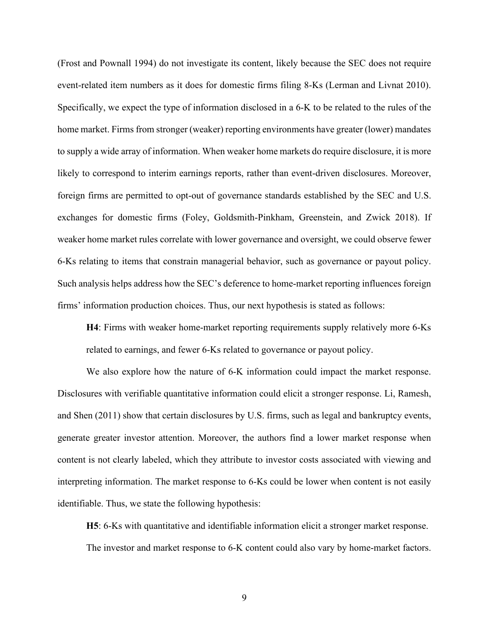(Frost and Pownall 1994) do not investigate its content, likely because the SEC does not require event-related item numbers as it does for domestic firms filing 8-Ks (Lerman and Livnat 2010). Specifically, we expect the type of information disclosed in a 6-K to be related to the rules of the home market. Firms from stronger (weaker) reporting environments have greater (lower) mandates to supply a wide array of information. When weaker home markets do require disclosure, it is more likely to correspond to interim earnings reports, rather than event-driven disclosures. Moreover, foreign firms are permitted to opt-out of governance standards established by the SEC and U.S. exchanges for domestic firms (Foley, Goldsmith-Pinkham, Greenstein, and Zwick 2018). If weaker home market rules correlate with lower governance and oversight, we could observe fewer 6-Ks relating to items that constrain managerial behavior, such as governance or payout policy. Such analysis helps address how the SEC's deference to home-market reporting influences foreign firms' information production choices. Thus, our next hypothesis is stated as follows:

**H4**: Firms with weaker home-market reporting requirements supply relatively more 6-Ks related to earnings, and fewer 6-Ks related to governance or payout policy.

We also explore how the nature of 6-K information could impact the market response. Disclosures with verifiable quantitative information could elicit a stronger response. Li, Ramesh, and Shen (2011) show that certain disclosures by U.S. firms, such as legal and bankruptcy events, generate greater investor attention. Moreover, the authors find a lower market response when content is not clearly labeled, which they attribute to investor costs associated with viewing and interpreting information. The market response to 6-Ks could be lower when content is not easily identifiable. Thus, we state the following hypothesis:

**H5**: 6-Ks with quantitative and identifiable information elicit a stronger market response. The investor and market response to 6-K content could also vary by home-market factors.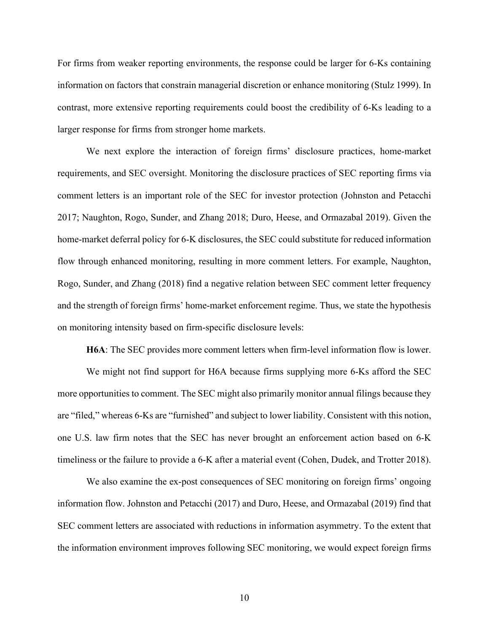For firms from weaker reporting environments, the response could be larger for 6-Ks containing information on factors that constrain managerial discretion or enhance monitoring (Stulz 1999). In contrast, more extensive reporting requirements could boost the credibility of 6-Ks leading to a larger response for firms from stronger home markets.

We next explore the interaction of foreign firms' disclosure practices, home-market requirements, and SEC oversight. Monitoring the disclosure practices of SEC reporting firms via comment letters is an important role of the SEC for investor protection (Johnston and Petacchi 2017; Naughton, Rogo, Sunder, and Zhang 2018; Duro, Heese, and Ormazabal 2019). Given the home-market deferral policy for 6-K disclosures, the SEC could substitute for reduced information flow through enhanced monitoring, resulting in more comment letters. For example, Naughton, Rogo, Sunder, and Zhang (2018) find a negative relation between SEC comment letter frequency and the strength of foreign firms' home-market enforcement regime. Thus, we state the hypothesis on monitoring intensity based on firm-specific disclosure levels:

**H6A**: The SEC provides more comment letters when firm-level information flow is lower.

We might not find support for H6A because firms supplying more 6-Ks afford the SEC more opportunities to comment. The SEC might also primarily monitor annual filings because they are "filed," whereas 6-Ks are "furnished" and subject to lower liability. Consistent with this notion, one U.S. law firm notes that the SEC has never brought an enforcement action based on 6-K timeliness or the failure to provide a 6-K after a material event (Cohen, Dudek, and Trotter 2018).

We also examine the ex-post consequences of SEC monitoring on foreign firms' ongoing information flow. Johnston and Petacchi (2017) and Duro, Heese, and Ormazabal (2019) find that SEC comment letters are associated with reductions in information asymmetry. To the extent that the information environment improves following SEC monitoring, we would expect foreign firms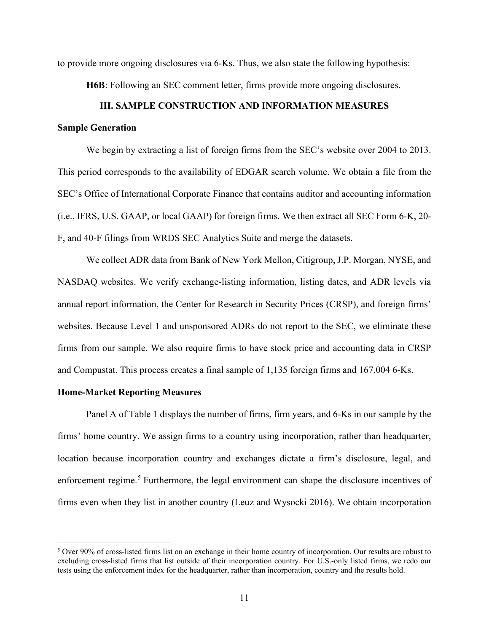to provide more ongoing disclosures via 6-Ks. Thus, we also state the following hypothesis:

**H6B**: Following an SEC comment letter, firms provide more ongoing disclosures.

# **III. SAMPLE CONSTRUCTION AND INFORMATION MEASURES**

# **Sample Generation**

We begin by extracting a list of foreign firms from the SEC's website over 2004 to 2013. This period corresponds to the availability of EDGAR search volume. We obtain a file from the SEC's Office of International Corporate Finance that contains auditor and accounting information (i.e., IFRS, U.S. GAAP, or local GAAP) for foreign firms. We then extract all SEC Form 6-K, 20- F, and 40-F filings from WRDS SEC Analytics Suite and merge the datasets.

We collect ADR data from Bank of New York Mellon, Citigroup, J.P. Morgan, NYSE, and NASDAQ websites. We verify exchange-listing information, listing dates, and ADR levels via annual report information, the Center for Research in Security Prices (CRSP), and foreign firms' websites. Because Level 1 and unsponsored ADRs do not report to the SEC, we eliminate these firms from our sample. We also require firms to have stock price and accounting data in CRSP and Compustat. This process creates a final sample of 1,135 foreign firms and 167,004 6-Ks.

#### **Home-Market Reporting Measures**

Panel A of Table 1 displays the number of firms, firm years, and 6-Ks in our sample by the firms' home country. We assign firms to a country using incorporation, rather than headquarter, location because incorporation country and exchanges dictate a firm's disclosure, legal, and enforcement regime.<sup>[5](#page-11-0)</sup> Furthermore, the legal environment can shape the disclosure incentives of firms even when they list in another country (Leuz and Wysocki 2016). We obtain incorporation

<span id="page-11-0"></span> $5$  Over 90% of cross-listed firms list on an exchange in their home country of incorporation. Our results are robust to excluding cross-listed firms that list outside of their incorporation country. For U.S.-only listed firms, we redo our tests using the enforcement index for the headquarter, rather than incorporation, country and the results hold.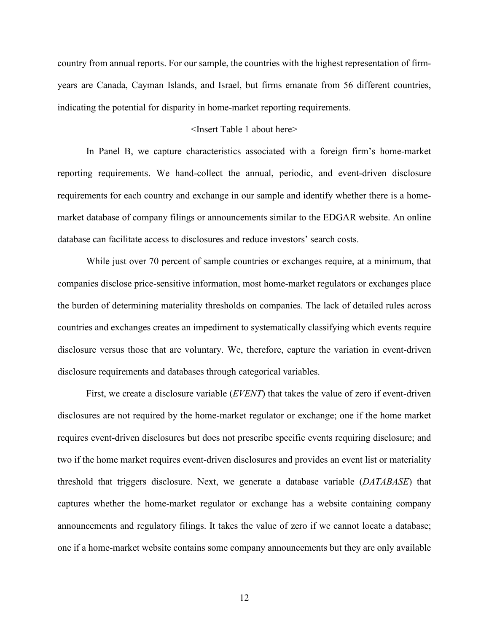country from annual reports. For our sample, the countries with the highest representation of firmyears are Canada, Cayman Islands, and Israel, but firms emanate from 56 different countries, indicating the potential for disparity in home-market reporting requirements.

# <Insert Table 1 about here>

In Panel B, we capture characteristics associated with a foreign firm's home-market reporting requirements. We hand-collect the annual, periodic, and event-driven disclosure requirements for each country and exchange in our sample and identify whether there is a homemarket database of company filings or announcements similar to the EDGAR website. An online database can facilitate access to disclosures and reduce investors' search costs.

While just over 70 percent of sample countries or exchanges require, at a minimum, that companies disclose price-sensitive information, most home-market regulators or exchanges place the burden of determining materiality thresholds on companies. The lack of detailed rules across countries and exchanges creates an impediment to systematically classifying which events require disclosure versus those that are voluntary. We, therefore, capture the variation in event-driven disclosure requirements and databases through categorical variables.

First, we create a disclosure variable (*EVENT*) that takes the value of zero if event-driven disclosures are not required by the home-market regulator or exchange; one if the home market requires event-driven disclosures but does not prescribe specific events requiring disclosure; and two if the home market requires event-driven disclosures and provides an event list or materiality threshold that triggers disclosure. Next, we generate a database variable (*DATABASE*) that captures whether the home-market regulator or exchange has a website containing company announcements and regulatory filings. It takes the value of zero if we cannot locate a database; one if a home-market website contains some company announcements but they are only available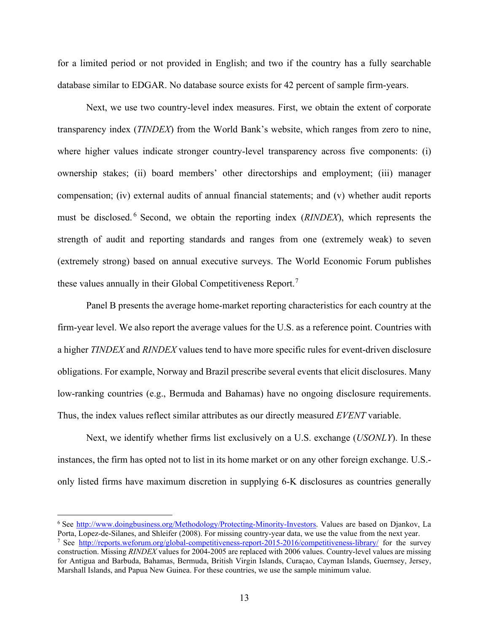for a limited period or not provided in English; and two if the country has a fully searchable database similar to EDGAR. No database source exists for 42 percent of sample firm-years.

Next, we use two country-level index measures. First, we obtain the extent of corporate transparency index (*TINDEX*) from the World Bank's website, which ranges from zero to nine, where higher values indicate stronger country-level transparency across five components: (i) ownership stakes; (ii) board members' other directorships and employment; (iii) manager compensation; (iv) external audits of annual financial statements; and (v) whether audit reports must be disclosed. [6](#page-13-0) Second, we obtain the reporting index (*RINDEX*), which represents the strength of audit and reporting standards and ranges from one (extremely weak) to seven (extremely strong) based on annual executive surveys. The World Economic Forum publishes these values annually in their Global Competitiveness Report.<sup>[7](#page-13-1)</sup>

Panel B presents the average home-market reporting characteristics for each country at the firm-year level. We also report the average values for the U.S. as a reference point. Countries with a higher *TINDEX* and *RINDEX* values tend to have more specific rules for event-driven disclosure obligations. For example, Norway and Brazil prescribe several events that elicit disclosures. Many low-ranking countries (e.g., Bermuda and Bahamas) have no ongoing disclosure requirements. Thus, the index values reflect similar attributes as our directly measured *EVENT* variable.

Next, we identify whether firms list exclusively on a U.S. exchange (*USONLY*). In these instances, the firm has opted not to list in its home market or on any other foreign exchange. U.S. only listed firms have maximum discretion in supplying 6-K disclosures as countries generally

<span id="page-13-1"></span><span id="page-13-0"></span><sup>6</sup> See [http://www.doingbusiness.org/Methodology/Protecting-Minority-Investors.](http://www.doingbusiness.org/Methodology/Protecting-Minority-Investors) Values are based on Djankov, La Porta, Lopez-de-Silanes, and Shleifer (2008). For missing country-year data, we use the value from the next year. <sup>7</sup> See<http://reports.weforum.org/global-competitiveness-report-2015-2016/competitiveness-library/> for the survey construction. Missing *RINDEX* values for 2004-2005 are replaced with 2006 values. Country-level values are missing for Antigua and Barbuda, Bahamas, Bermuda, British Virgin Islands, Curaçao, Cayman Islands, Guernsey, Jersey, Marshall Islands, and Papua New Guinea. For these countries, we use the sample minimum value.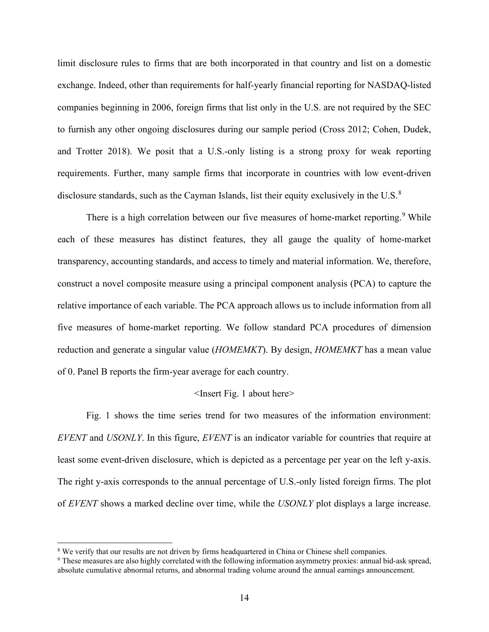limit disclosure rules to firms that are both incorporated in that country and list on a domestic exchange. Indeed, other than requirements for half-yearly financial reporting for NASDAQ-listed companies beginning in 2006, foreign firms that list only in the U.S. are not required by the SEC to furnish any other ongoing disclosures during our sample period (Cross 2012; Cohen, Dudek, and Trotter 2018). We posit that a U.S.-only listing is a strong proxy for weak reporting requirements. Further, many sample firms that incorporate in countries with low event-driven disclosure standards, such as the Cayman Islands, list their equity exclusively in the U.S. $^{8}$  $^{8}$  $^{8}$ 

There is a high correlation between our five measures of home-market reporting.<sup>[9](#page-14-1)</sup> While each of these measures has distinct features, they all gauge the quality of home-market transparency, accounting standards, and access to timely and material information. We, therefore, construct a novel composite measure using a principal component analysis (PCA) to capture the relative importance of each variable. The PCA approach allows us to include information from all five measures of home-market reporting. We follow standard PCA procedures of dimension reduction and generate a singular value (*HOMEMKT*). By design, *HOMEMKT* has a mean value of 0. Panel B reports the firm-year average for each country.

#### <Insert Fig. 1 about here>

Fig. 1 shows the time series trend for two measures of the information environment: *EVENT* and *USONLY*. In this figure, *EVENT* is an indicator variable for countries that require at least some event-driven disclosure, which is depicted as a percentage per year on the left y-axis. The right y-axis corresponds to the annual percentage of U.S.-only listed foreign firms. The plot of *EVENT* shows a marked decline over time, while the *USONLY* plot displays a large increase.

<span id="page-14-1"></span><span id="page-14-0"></span><sup>&</sup>lt;sup>8</sup> We verify that our results are not driven by firms headquartered in China or Chinese shell companies. <sup>9</sup> These measures are also highly correlated with the following information asymmetry proxies: annual bid-ask sprea absolute cumulative abnormal returns, and abnormal trading volume around the annual earnings announcement.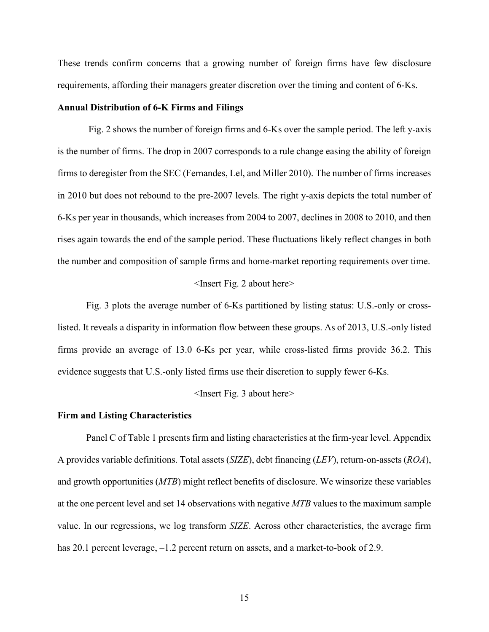These trends confirm concerns that a growing number of foreign firms have few disclosure requirements, affording their managers greater discretion over the timing and content of 6-Ks.

## **Annual Distribution of 6-K Firms and Filings**

Fig. 2 shows the number of foreign firms and 6-Ks over the sample period. The left y-axis is the number of firms. The drop in 2007 corresponds to a rule change easing the ability of foreign firms to deregister from the SEC (Fernandes, Lel, and Miller 2010). The number of firms increases in 2010 but does not rebound to the pre-2007 levels. The right y-axis depicts the total number of 6-Ks per year in thousands, which increases from 2004 to 2007, declines in 2008 to 2010, and then rises again towards the end of the sample period. These fluctuations likely reflect changes in both the number and composition of sample firms and home-market reporting requirements over time.

## <Insert Fig. 2 about here>

Fig. 3 plots the average number of 6-Ks partitioned by listing status: U.S.-only or crosslisted. It reveals a disparity in information flow between these groups. As of 2013, U.S.-only listed firms provide an average of 13.0 6-Ks per year, while cross-listed firms provide 36.2. This evidence suggests that U.S.-only listed firms use their discretion to supply fewer 6-Ks.

#### <Insert Fig. 3 about here>

# **Firm and Listing Characteristics**

Panel C of Table 1 presents firm and listing characteristics at the firm-year level. Appendix A provides variable definitions. Total assets (*SIZE*), debt financing (*LEV*), return-on-assets (*ROA*), and growth opportunities (*MTB*) might reflect benefits of disclosure. We winsorize these variables at the one percent level and set 14 observations with negative *MTB* values to the maximum sample value. In our regressions, we log transform *SIZE*. Across other characteristics, the average firm has 20.1 percent leverage,  $-1.2$  percent return on assets, and a market-to-book of 2.9.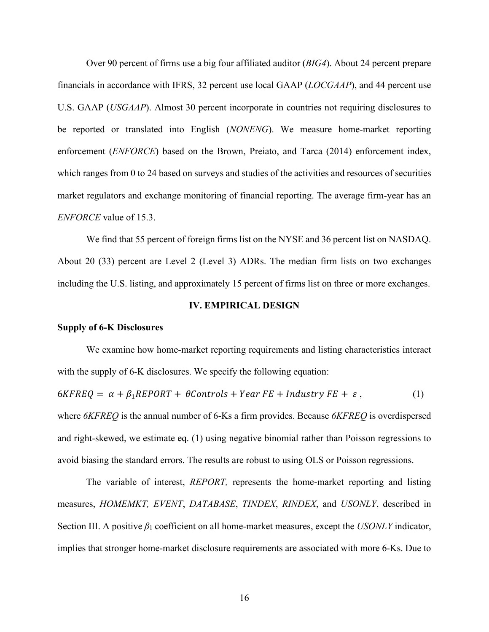Over 90 percent of firms use a big four affiliated auditor (*BIG4*). About 24 percent prepare financials in accordance with IFRS, 32 percent use local GAAP (*LOCGAAP*), and 44 percent use U.S. GAAP (*USGAAP*). Almost 30 percent incorporate in countries not requiring disclosures to be reported or translated into English (*NONENG*). We measure home-market reporting enforcement (*ENFORCE*) based on the Brown, Preiato, and Tarca (2014) enforcement index, which ranges from 0 to 24 based on surveys and studies of the activities and resources of securities market regulators and exchange monitoring of financial reporting. The average firm-year has an *ENFORCE* value of 15.3.

We find that 55 percent of foreign firms list on the NYSE and 36 percent list on NASDAQ. About 20 (33) percent are Level 2 (Level 3) ADRs. The median firm lists on two exchanges including the U.S. listing, and approximately 15 percent of firms list on three or more exchanges.

## **IV. EMPIRICAL DESIGN**

#### **Supply of 6-K Disclosures**

We examine how home-market reporting requirements and listing characteristics interact with the supply of 6-K disclosures. We specify the following equation:  $6KFREQ = \alpha + \beta_1 REPORT + \theta Controls + Year FE + Industry FE + \varepsilon,$  (1) where *6KFREQ* is the annual number of 6-Ks a firm provides. Because *6KFREQ* is overdispersed and right-skewed, we estimate eq. (1) using negative binomial rather than Poisson regressions to

The variable of interest, *REPORT,* represents the home-market reporting and listing measures, *HOMEMKT, EVENT*, *DATABASE*, *TINDEX*, *RINDEX*, and *USONLY*, described in Section III. A positive *β*<sup>1</sup> coefficient on all home-market measures, except the *USONLY* indicator, implies that stronger home-market disclosure requirements are associated with more 6-Ks. Due to

avoid biasing the standard errors. The results are robust to using OLS or Poisson regressions.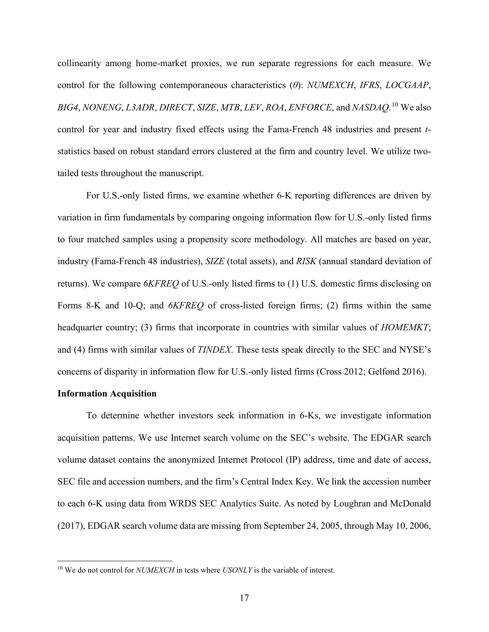collinearity among home-market proxies, we run separate regressions for each measure. We control for the following contemporaneous characteristics (*θ*): *NUMEXCH*, *IFRS*, *LOCGAAP*, *BIG4*, *NONENG*, *L3ADR*, *DIRECT*, *SIZE*, *MTB*, *LEV*, *ROA*, *ENFORCE*, and *NASDAQ*. [10](#page-17-0) We also control for year and industry fixed effects using the Fama-French 48 industries and present *t*statistics based on robust standard errors clustered at the firm and country level. We utilize twotailed tests throughout the manuscript.

For U.S.-only listed firms, we examine whether 6-K reporting differences are driven by variation in firm fundamentals by comparing ongoing information flow for U.S.-only listed firms to four matched samples using a propensity score methodology. All matches are based on year, industry (Fama-French 48 industries), *SIZE* (total assets), and *RISK* (annual standard deviation of returns). We compare *6KFREQ* of U.S.-only listed firms to (1) U.S. domestic firms disclosing on Forms 8-K and 10-Q; and *6KFREQ* of cross-listed foreign firms; (2) firms within the same headquarter country; (3) firms that incorporate in countries with similar values of *HOMEMKT*; and (4) firms with similar values of *TINDEX*. These tests speak directly to the SEC and NYSE's concerns of disparity in information flow for U.S.-only listed firms (Cross 2012; Gelfond 2016).

# **Information Acquisition**

To determine whether investors seek information in 6-Ks, we investigate information acquisition patterns. We use Internet search volume on the SEC's website. The EDGAR search volume dataset contains the anonymized Internet Protocol (IP) address, time and date of access, SEC file and accession numbers, and the firm's Central Index Key. We link the accession number to each 6-K using data from WRDS SEC Analytics Suite. As noted by Loughran and McDonald (2017), EDGAR search volume data are missing from September 24, 2005, through May 10, 2006,

<span id="page-17-0"></span><sup>10</sup> We do not control for *NUMEXCH* in tests where *USONLY* is the variable of interest.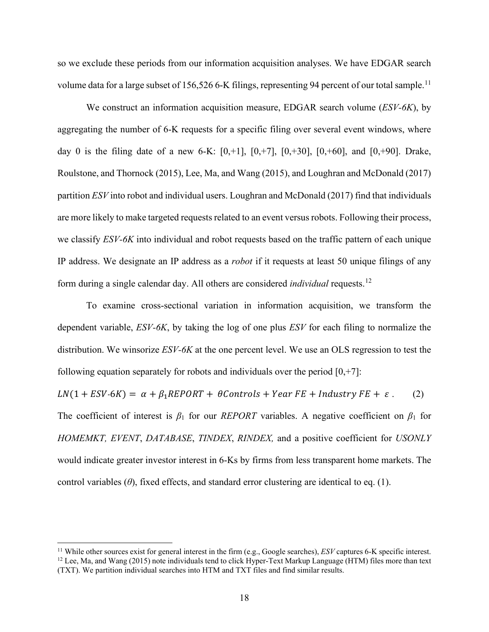so we exclude these periods from our information acquisition analyses. We have EDGAR search volume data for a large subset of 156,526 6-K filings, representing 94 percent of our total sample.<sup>[11](#page-18-0)</sup>

We construct an information acquisition measure, EDGAR search volume (*ESV-6K*), by aggregating the number of 6-K requests for a specific filing over several event windows, where day 0 is the filing date of a new 6-K:  $[0, +1]$ ,  $[0, +7]$ ,  $[0, +30]$ ,  $[0, +60]$ , and  $[0, +90]$ . Drake, Roulstone, and Thornock (2015), Lee, Ma, and Wang (2015), and Loughran and McDonald (2017) partition *ESV* into robot and individual users. Loughran and McDonald (2017) find that individuals are more likely to make targeted requests related to an event versus robots. Following their process, we classify *ESV-6K* into individual and robot requests based on the traffic pattern of each unique IP address. We designate an IP address as a *robot* if it requests at least 50 unique filings of any form during a single calendar day. All others are considered *individual* requests.[12](#page-18-1)

To examine cross-sectional variation in information acquisition, we transform the dependent variable, *ESV-6K*, by taking the log of one plus *ESV* for each filing to normalize the distribution. We winsorize *ESV-6K* at the one percent level. We use an OLS regression to test the following equation separately for robots and individuals over the period  $[0, +7]$ :

 $LN(1 + ESV-6K) = \alpha + \beta_1 REPORT + \theta Controls + Year FE + Industry FE + \varepsilon$ . (2) The coefficient of interest is *β*<sup>1</sup> for our *REPORT* variables. A negative coefficient on *β*<sup>1</sup> for *HOMEMKT, EVENT*, *DATABASE*, *TINDEX*, *RINDEX,* and a positive coefficient for *USONLY* would indicate greater investor interest in 6-Ks by firms from less transparent home markets. The control variables (*θ*), fixed effects, and standard error clustering are identical to eq. (1).

<span id="page-18-1"></span><span id="page-18-0"></span><sup>&</sup>lt;sup>11</sup> While other sources exist for general interest in the firm (e.g., Google searches), *ESV* captures 6-K specific interest. <sup>12</sup> Lee, Ma, and Wang (2015) note individuals tend to click Hyper-Text Markup Language (HTM) files more than text (TXT). We partition individual searches into HTM and TXT files and find similar results.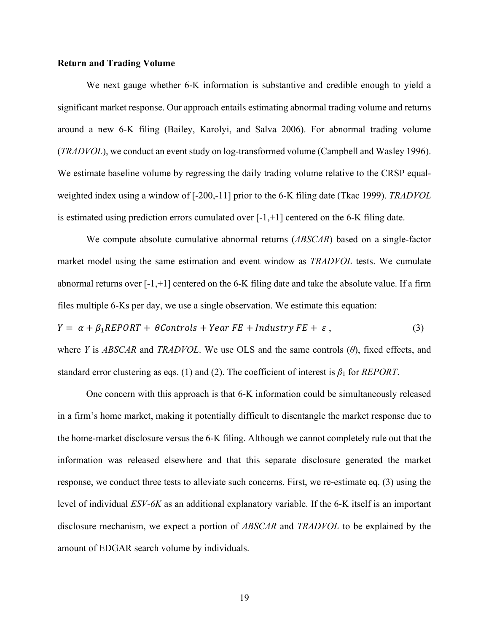#### **Return and Trading Volume**

We next gauge whether 6-K information is substantive and credible enough to yield a significant market response. Our approach entails estimating abnormal trading volume and returns around a new 6-K filing (Bailey, Karolyi, and Salva 2006). For abnormal trading volume (*TRADVOL*), we conduct an event study on log-transformed volume (Campbell and Wasley 1996). We estimate baseline volume by regressing the daily trading volume relative to the CRSP equalweighted index using a window of [-200,-11] prior to the 6-K filing date (Tkac 1999). *TRADVOL* is estimated using prediction errors cumulated over [-1,+1] centered on the 6-K filing date.

We compute absolute cumulative abnormal returns (*ABSCAR*) based on a single-factor market model using the same estimation and event window as *TRADVOL* tests. We cumulate abnormal returns over [-1,+1] centered on the 6-K filing date and take the absolute value. If a firm files multiple 6-Ks per day, we use a single observation. We estimate this equation:  $Y = \alpha + \beta_1 REPORT + \theta Controls + Year FE + Industry FE + \varepsilon,$  (3) where *Y* is *ABSCAR* and *TRADVOL*. We use OLS and the same controls (*θ*), fixed effects, and

standard error clustering as eqs. (1) and (2). The coefficient of interest is *β*<sup>1</sup> for *REPORT*.

One concern with this approach is that 6-K information could be simultaneously released in a firm's home market, making it potentially difficult to disentangle the market response due to the home-market disclosure versus the 6-K filing. Although we cannot completely rule out that the information was released elsewhere and that this separate disclosure generated the market response, we conduct three tests to alleviate such concerns. First, we re-estimate eq. (3) using the level of individual *ESV-6K* as an additional explanatory variable. If the 6-K itself is an important disclosure mechanism, we expect a portion of *ABSCAR* and *TRADVOL* to be explained by the amount of EDGAR search volume by individuals.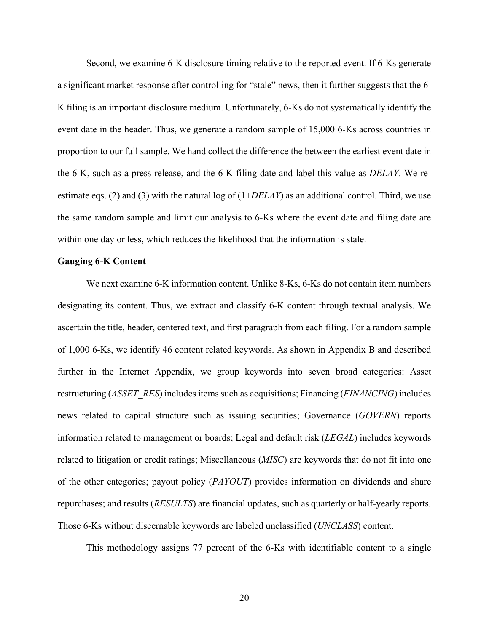Second, we examine 6-K disclosure timing relative to the reported event. If 6-Ks generate a significant market response after controlling for "stale" news, then it further suggests that the 6- K filing is an important disclosure medium. Unfortunately, 6-Ks do not systematically identify the event date in the header. Thus, we generate a random sample of 15,000 6-Ks across countries in proportion to our full sample. We hand collect the difference the between the earliest event date in the 6-K, such as a press release, and the 6-K filing date and label this value as *DELAY*. We reestimate eqs. (2) and (3) with the natural log of (1+*DELAY*) as an additional control. Third, we use the same random sample and limit our analysis to 6-Ks where the event date and filing date are within one day or less, which reduces the likelihood that the information is stale.

# **Gauging 6-K Content**

We next examine 6-K information content. Unlike 8-Ks, 6-Ks do not contain item numbers designating its content. Thus, we extract and classify 6-K content through textual analysis. We ascertain the title, header, centered text, and first paragraph from each filing. For a random sample of 1,000 6-Ks, we identify 46 content related keywords. As shown in Appendix B and described further in the Internet Appendix, we group keywords into seven broad categories: Asset restructuring (*ASSET\_RES*) includes items such as acquisitions; Financing (*FINANCING*) includes news related to capital structure such as issuing securities; Governance (*GOVERN*) reports information related to management or boards; Legal and default risk (*LEGAL*) includes keywords related to litigation or credit ratings; Miscellaneous (*MISC*) are keywords that do not fit into one of the other categories; payout policy (*PAYOUT*) provides information on dividends and share repurchases; and results (*RESULTS*) are financial updates, such as quarterly or half-yearly reports*.*  Those 6-Ks without discernable keywords are labeled unclassified (*UNCLASS*) content.

This methodology assigns 77 percent of the 6-Ks with identifiable content to a single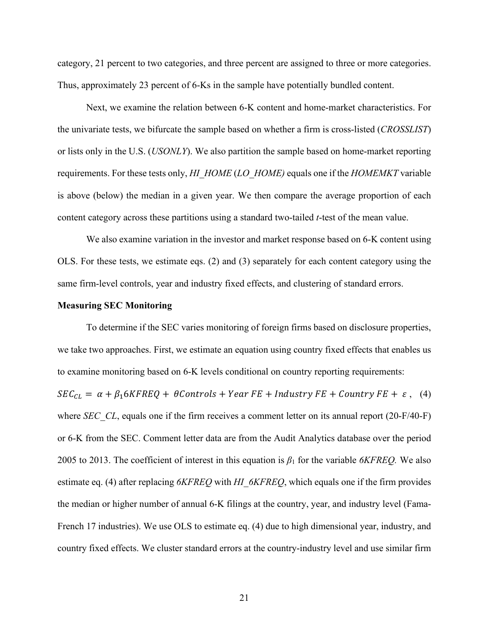category, 21 percent to two categories, and three percent are assigned to three or more categories. Thus, approximately 23 percent of 6-Ks in the sample have potentially bundled content.

Next, we examine the relation between 6-K content and home-market characteristics. For the univariate tests, we bifurcate the sample based on whether a firm is cross-listed (*CROSSLIST*) or lists only in the U.S. (*USONLY*). We also partition the sample based on home-market reporting requirements. For these tests only, *HI\_HOME* (*LO\_HOME)* equals one if the *HOMEMKT* variable is above (below) the median in a given year. We then compare the average proportion of each content category across these partitions using a standard two-tailed *t*-test of the mean value.

We also examine variation in the investor and market response based on 6-K content using OLS. For these tests, we estimate eqs. (2) and (3) separately for each content category using the same firm-level controls, year and industry fixed effects, and clustering of standard errors.

#### **Measuring SEC Monitoring**

To determine if the SEC varies monitoring of foreign firms based on disclosure properties, we take two approaches. First, we estimate an equation using country fixed effects that enables us to examine monitoring based on 6-K levels conditional on country reporting requirements:

 $SEC_{CL} = \alpha + \beta_1 6KFREQ + \theta Controls + Year FE + Industry FE + Country FE + \varepsilon$ , (4) where *SEC* CL, equals one if the firm receives a comment letter on its annual report (20-F/40-F) or 6-K from the SEC. Comment letter data are from the Audit Analytics database over the period 2005 to 2013. The coefficient of interest in this equation is *β*<sup>1</sup> for the variable *6KFREQ.* We also estimate eq. (4) after replacing *6KFREQ* with *HI\_6KFREQ*, which equals one if the firm provides the median or higher number of annual 6-K filings at the country, year, and industry level (Fama-French 17 industries). We use OLS to estimate eq. (4) due to high dimensional year, industry, and country fixed effects. We cluster standard errors at the country-industry level and use similar firm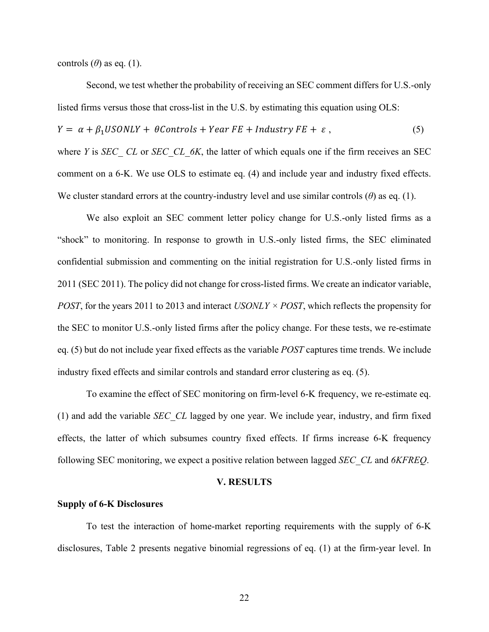controls  $(\theta)$  as eq. (1).

Second, we test whether the probability of receiving an SEC comment differs for U.S.-only listed firms versus those that cross-list in the U.S. by estimating this equation using OLS:

 $Y = \alpha + \beta_1 USONLY + \theta Controls + Year FE + Industry FE + \varepsilon,$  (5)

where *Y* is *SEC CL* or *SEC CL 6K*, the latter of which equals one if the firm receives an SEC comment on a 6-K. We use OLS to estimate eq. (4) and include year and industry fixed effects. We cluster standard errors at the country-industry level and use similar controls (*θ*) as eq. (1).

We also exploit an SEC comment letter policy change for U.S.-only listed firms as a "shock" to monitoring. In response to growth in U.S.-only listed firms, the SEC eliminated confidential submission and commenting on the initial registration for U.S.-only listed firms in 2011 (SEC 2011). The policy did not change for cross-listed firms. We create an indicator variable, *POST*, for the years 2011 to 2013 and interact *USONLY × POST*, which reflects the propensity for the SEC to monitor U.S.-only listed firms after the policy change. For these tests, we re-estimate eq. (5) but do not include year fixed effects as the variable *POST* captures time trends. We include industry fixed effects and similar controls and standard error clustering as eq. (5).

To examine the effect of SEC monitoring on firm-level 6-K frequency, we re-estimate eq. (1) and add the variable *SEC\_CL* lagged by one year. We include year, industry, and firm fixed effects, the latter of which subsumes country fixed effects. If firms increase 6-K frequency following SEC monitoring, we expect a positive relation between lagged *SEC\_CL* and *6KFREQ*.

#### **V. RESULTS**

# **Supply of 6-K Disclosures**

To test the interaction of home-market reporting requirements with the supply of 6-K disclosures, Table 2 presents negative binomial regressions of eq. (1) at the firm-year level. In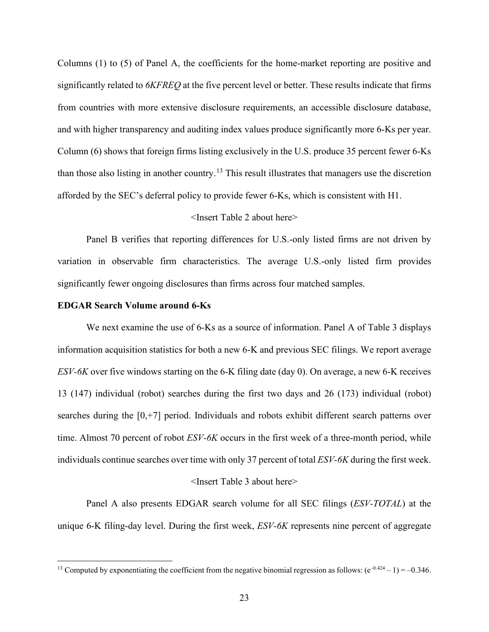Columns (1) to (5) of Panel A, the coefficients for the home-market reporting are positive and significantly related to *6KFREQ* at the five percent level or better. These results indicate that firms from countries with more extensive disclosure requirements, an accessible disclosure database, and with higher transparency and auditing index values produce significantly more 6-Ks per year. Column (6) shows that foreign firms listing exclusively in the U.S. produce 35 percent fewer 6-Ks than those also listing in another country.<sup>[13](#page-23-0)</sup> This result illustrates that managers use the discretion afforded by the SEC's deferral policy to provide fewer 6-Ks, which is consistent with H1.

# <Insert Table 2 about here>

Panel B verifies that reporting differences for U.S.-only listed firms are not driven by variation in observable firm characteristics. The average U.S.-only listed firm provides significantly fewer ongoing disclosures than firms across four matched samples.

#### **EDGAR Search Volume around 6-Ks**

We next examine the use of 6-Ks as a source of information. Panel A of Table 3 displays information acquisition statistics for both a new 6-K and previous SEC filings. We report average *ESV-6K* over five windows starting on the 6-K filing date (day 0). On average, a new 6-K receives 13 (147) individual (robot) searches during the first two days and 26 (173) individual (robot) searches during the [0,+7] period. Individuals and robots exhibit different search patterns over time. Almost 70 percent of robot *ESV-6K* occurs in the first week of a three-month period, while individuals continue searches over time with only 37 percent of total *ESV-6K* during the first week.

#### <Insert Table 3 about here>

Panel A also presents EDGAR search volume for all SEC filings (*ESV-TOTAL*) at the unique 6-K filing-day level. During the first week, *ESV-6K* represents nine percent of aggregate

<span id="page-23-0"></span><sup>&</sup>lt;sup>13</sup> Computed by exponentiating the coefficient from the negative binomial regression as follows:  $(e^{-0.424} - 1) = -0.346$ .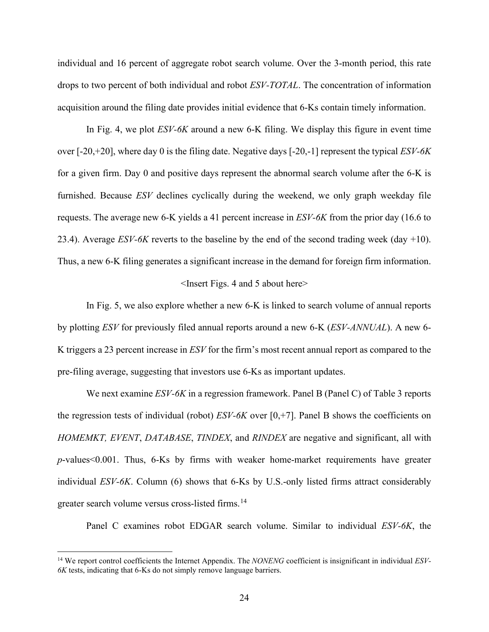individual and 16 percent of aggregate robot search volume. Over the 3-month period, this rate drops to two percent of both individual and robot *ESV-TOTAL*. The concentration of information acquisition around the filing date provides initial evidence that 6-Ks contain timely information.

In Fig. 4, we plot *ESV-6K* around a new 6-K filing. We display this figure in event time over [-20,+20], where day 0 is the filing date. Negative days [-20,-1] represent the typical *ESV-6K* for a given firm. Day 0 and positive days represent the abnormal search volume after the 6-K is furnished. Because *ESV* declines cyclically during the weekend, we only graph weekday file requests. The average new 6-K yields a 41 percent increase in *ESV-6K* from the prior day (16.6 to 23.4). Average *ESV-6K* reverts to the baseline by the end of the second trading week (day +10). Thus, a new 6-K filing generates a significant increase in the demand for foreign firm information.

## <Insert Figs. 4 and 5 about here>

In Fig. 5, we also explore whether a new 6-K is linked to search volume of annual reports by plotting *ESV* for previously filed annual reports around a new 6-K (*ESV-ANNUAL*). A new 6- K triggers a 23 percent increase in *ESV* for the firm's most recent annual report as compared to the pre-filing average, suggesting that investors use 6-Ks as important updates.

We next examine *ESV-6K* in a regression framework. Panel B (Panel C) of Table 3 reports the regression tests of individual (robot) *ESV-6K* over [0,+7]. Panel B shows the coefficients on *HOMEMKT, EVENT*, *DATABASE*, *TINDEX*, and *RINDEX* are negative and significant, all with *p*-values<0.001. Thus, 6-Ks by firms with weaker home-market requirements have greater individual *ESV-6K*. Column (6) shows that 6-Ks by U.S.-only listed firms attract considerably greater search volume versus cross-listed firms. [14](#page-24-0)

Panel C examines robot EDGAR search volume. Similar to individual *ESV-6K*, the

<span id="page-24-0"></span><sup>14</sup> We report control coefficients the Internet Appendix. The *NONENG* coefficient is insignificant in individual *ESV-6K* tests, indicating that 6-Ks do not simply remove language barriers.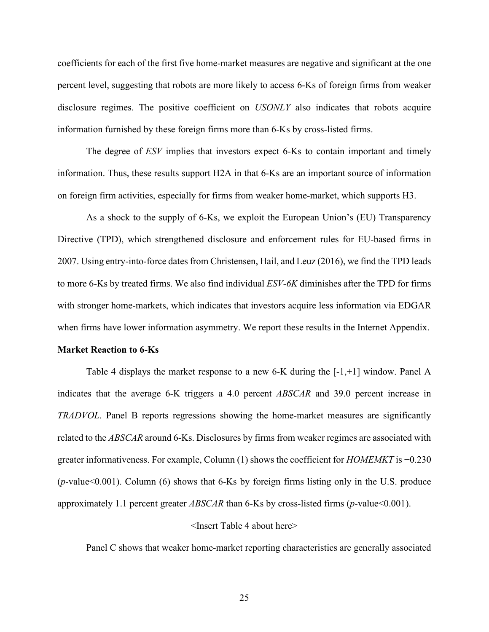coefficients for each of the first five home-market measures are negative and significant at the one percent level, suggesting that robots are more likely to access 6-Ks of foreign firms from weaker disclosure regimes. The positive coefficient on *USONLY* also indicates that robots acquire information furnished by these foreign firms more than 6-Ks by cross-listed firms.

The degree of *ESV* implies that investors expect 6-Ks to contain important and timely information. Thus, these results support H2A in that 6-Ks are an important source of information on foreign firm activities, especially for firms from weaker home-market, which supports H3.

As a shock to the supply of 6-Ks, we exploit the European Union's (EU) Transparency Directive (TPD), which strengthened disclosure and enforcement rules for EU-based firms in 2007. Using entry-into-force dates from Christensen, Hail, and Leuz (2016), we find the TPD leads to more 6-Ks by treated firms. We also find individual *ESV-6K* diminishes after the TPD for firms with stronger home-markets, which indicates that investors acquire less information via EDGAR when firms have lower information asymmetry. We report these results in the Internet Appendix.

#### **Market Reaction to 6-Ks**

Table 4 displays the market response to a new 6-K during the [-1,+1] window. Panel A indicates that the average 6-K triggers a 4.0 percent *ABSCAR* and 39.0 percent increase in *TRADVOL*. Panel B reports regressions showing the home-market measures are significantly related to the *ABSCAR* around 6-Ks. Disclosures by firms from weaker regimes are associated with greater informativeness. For example, Column (1) shows the coefficient for *HOMEMKT* is −0.230 (*p*-value<0.001). Column (6) shows that 6-Ks by foreign firms listing only in the U.S. produce approximately 1.1 percent greater *ABSCAR* than 6-Ks by cross-listed firms (*p*-value<0.001).

# <Insert Table 4 about here>

Panel C shows that weaker home-market reporting characteristics are generally associated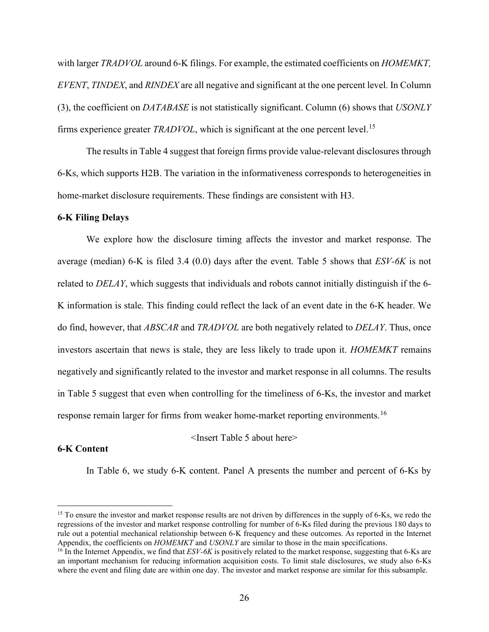with larger *TRADVOL* around 6-K filings. For example, the estimated coefficients on *HOMEMKT, EVENT*, *TINDEX*, and *RINDEX* are all negative and significant at the one percent level. In Column (3), the coefficient on *DATABASE* is not statistically significant. Column (6) shows that *USONLY* firms experience greater *TRADVOL*, which is significant at the one percent level.[15](#page-26-0)

The results in Table 4 suggest that foreign firms provide value-relevant disclosures through 6-Ks, which supports H2B. The variation in the informativeness corresponds to heterogeneities in home-market disclosure requirements. These findings are consistent with H3.

#### **6-K Filing Delays**

We explore how the disclosure timing affects the investor and market response. The average (median) 6-K is filed 3.4 (0.0) days after the event. Table 5 shows that *ESV-6K* is not related to *DELAY*, which suggests that individuals and robots cannot initially distinguish if the 6- K information is stale. This finding could reflect the lack of an event date in the 6-K header. We do find, however, that *ABSCAR* and *TRADVOL* are both negatively related to *DELAY*. Thus, once investors ascertain that news is stale, they are less likely to trade upon it. *HOMEMKT* remains negatively and significantly related to the investor and market response in all columns. The results in Table 5 suggest that even when controlling for the timeliness of 6-Ks, the investor and market response remain larger for firms from weaker home-market reporting environments.<sup>[16](#page-26-1)</sup>

<Insert Table 5 about here>

# **6-K Content**

In Table 6, we study 6-K content. Panel A presents the number and percent of 6-Ks by

<span id="page-26-0"></span><sup>&</sup>lt;sup>15</sup> To ensure the investor and market response results are not driven by differences in the supply of 6-Ks, we redo the regressions of the investor and market response controlling for number of 6-Ks filed during the previous 180 days to rule out a potential mechanical relationship between 6-K frequency and these outcomes. As reported in the Internet Appendix, the coefficients on *HOMEMKT* and *USONLY* are similar to those in the main specifications.

<span id="page-26-1"></span><sup>&</sup>lt;sup>16</sup> In the Internet Appendix, we find that *ESV-6K* is positively related to the market response, suggesting that 6-Ks are an important mechanism for reducing information acquisition costs. To limit stale disclosures, we study also 6-Ks where the event and filing date are within one day. The investor and market response are similar for this subsample.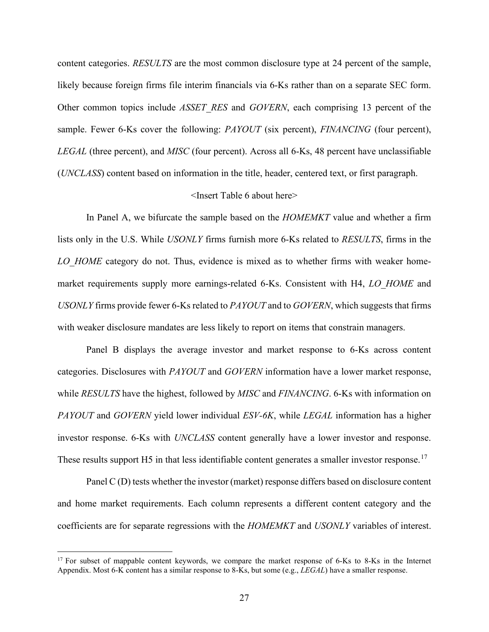content categories. *RESULTS* are the most common disclosure type at 24 percent of the sample, likely because foreign firms file interim financials via 6-Ks rather than on a separate SEC form. Other common topics include *ASSET\_RES* and *GOVERN*, each comprising 13 percent of the sample. Fewer 6-Ks cover the following: *PAYOUT* (six percent), *FINANCING* (four percent), *LEGAL* (three percent), and *MISC* (four percent). Across all 6-Ks, 48 percent have unclassifiable (*UNCLASS*) content based on information in the title, header, centered text, or first paragraph.

## <Insert Table 6 about here>

In Panel A, we bifurcate the sample based on the *HOMEMKT* value and whether a firm lists only in the U.S. While *USONLY* firms furnish more 6-Ks related to *RESULTS*, firms in the *LO\_HOME* category do not. Thus, evidence is mixed as to whether firms with weaker homemarket requirements supply more earnings-related 6-Ks. Consistent with H4, *LO\_HOME* and *USONLY* firms provide fewer 6-Ks related to *PAYOUT* and to *GOVERN*, which suggests that firms with weaker disclosure mandates are less likely to report on items that constrain managers.

Panel B displays the average investor and market response to 6-Ks across content categories. Disclosures with *PAYOUT* and *GOVERN* information have a lower market response, while *RESULTS* have the highest, followed by *MISC* and *FINANCING*. 6-Ks with information on *PAYOUT* and *GOVERN* yield lower individual *ESV-6K*, while *LEGAL* information has a higher investor response. 6-Ks with *UNCLASS* content generally have a lower investor and response. These results support H5 in that less identifiable content generates a smaller investor response.<sup>[17](#page-27-0)</sup>

Panel C (D) tests whether the investor (market) response differs based on disclosure content and home market requirements. Each column represents a different content category and the coefficients are for separate regressions with the *HOMEMKT* and *USONLY* variables of interest.

<span id="page-27-0"></span><sup>&</sup>lt;sup>17</sup> For subset of mappable content keywords, we compare the market response of 6-Ks to 8-Ks in the Internet Appendix. Most 6-K content has a similar response to 8-Ks, but some (e.g., *LEGAL*) have a smaller response.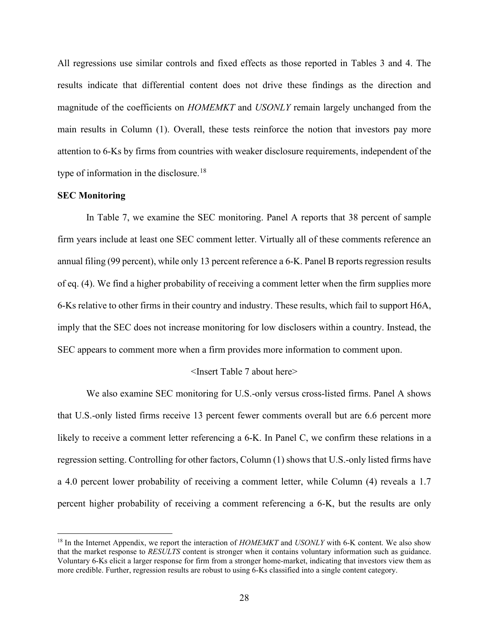All regressions use similar controls and fixed effects as those reported in Tables 3 and 4. The results indicate that differential content does not drive these findings as the direction and magnitude of the coefficients on *HOMEMKT* and *USONLY* remain largely unchanged from the main results in Column (1). Overall, these tests reinforce the notion that investors pay more attention to 6-Ks by firms from countries with weaker disclosure requirements, independent of the type of information in the disclosure.<sup>[18](#page-28-0)</sup>

## **SEC Monitoring**

In Table 7, we examine the SEC monitoring. Panel A reports that 38 percent of sample firm years include at least one SEC comment letter. Virtually all of these comments reference an annual filing (99 percent), while only 13 percent reference a 6-K. Panel B reports regression results of eq. (4). We find a higher probability of receiving a comment letter when the firm supplies more 6-Ks relative to other firms in their country and industry. These results, which fail to support H6A, imply that the SEC does not increase monitoring for low disclosers within a country. Instead, the SEC appears to comment more when a firm provides more information to comment upon.

#### <Insert Table 7 about here>

We also examine SEC monitoring for U.S.-only versus cross-listed firms. Panel A shows that U.S.-only listed firms receive 13 percent fewer comments overall but are 6.6 percent more likely to receive a comment letter referencing a 6-K. In Panel C, we confirm these relations in a regression setting. Controlling for other factors, Column (1) shows that U.S.-only listed firms have a 4.0 percent lower probability of receiving a comment letter, while Column (4) reveals a 1.7 percent higher probability of receiving a comment referencing a 6-K, but the results are only

<span id="page-28-0"></span><sup>&</sup>lt;sup>18</sup> In the Internet Appendix, we report the interaction of *HOMEMKT* and *USONLY* with 6-K content. We also show that the market response to *RESULTS* content is stronger when it contains voluntary information such as guidance. Voluntary 6-Ks elicit a larger response for firm from a stronger home-market, indicating that investors view them as more credible. Further, regression results are robust to using 6-Ks classified into a single content category.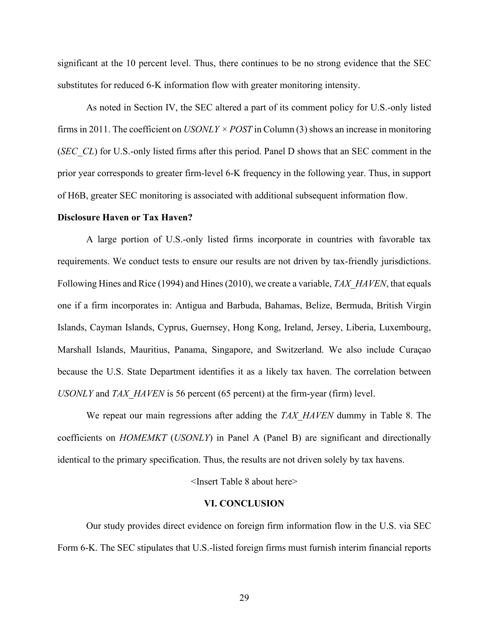significant at the 10 percent level. Thus, there continues to be no strong evidence that the SEC substitutes for reduced 6-K information flow with greater monitoring intensity.

As noted in Section IV, the SEC altered a part of its comment policy for U.S.-only listed firms in 2011. The coefficient on *USONLY × POST* in Column (3) shows an increase in monitoring (*SEC\_CL*) for U.S.-only listed firms after this period. Panel D shows that an SEC comment in the prior year corresponds to greater firm-level 6-K frequency in the following year. Thus, in support of H6B, greater SEC monitoring is associated with additional subsequent information flow.

#### **Disclosure Haven or Tax Haven?**

A large portion of U.S.-only listed firms incorporate in countries with favorable tax requirements. We conduct tests to ensure our results are not driven by tax-friendly jurisdictions. Following Hines and Rice (1994) and Hines (2010), we create a variable, *TAX\_HAVEN*, that equals one if a firm incorporates in: Antigua and Barbuda, Bahamas, Belize, Bermuda, British Virgin Islands, Cayman Islands, Cyprus, Guernsey, Hong Kong, Ireland, Jersey, Liberia, Luxembourg, Marshall Islands, Mauritius, Panama, Singapore, and Switzerland. We also include Curaçao because the U.S. State Department identifies it as a likely tax haven. The correlation between *USONLY* and *TAX\_HAVEN* is 56 percent (65 percent) at the firm-year (firm) level.

We repeat our main regressions after adding the *TAX\_HAVEN* dummy in Table 8. The coefficients on *HOMEMKT* (*USONLY*) in Panel A (Panel B) are significant and directionally identical to the primary specification. Thus, the results are not driven solely by tax havens.

<Insert Table 8 about here>

#### **VI. CONCLUSION**

Our study provides direct evidence on foreign firm information flow in the U.S. via SEC Form 6-K. The SEC stipulates that U.S.-listed foreign firms must furnish interim financial reports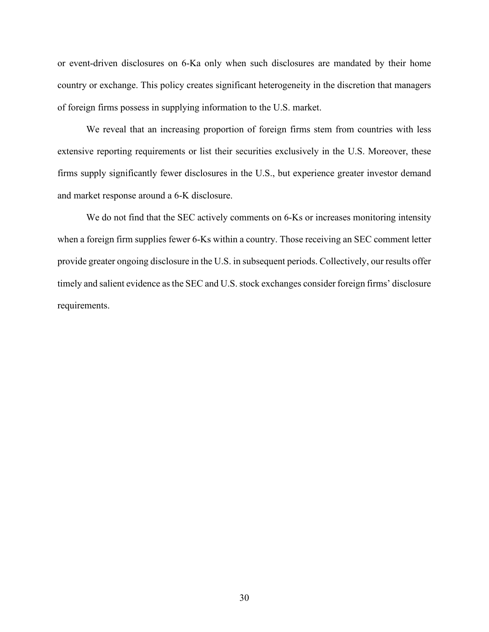or event-driven disclosures on 6-Ka only when such disclosures are mandated by their home country or exchange. This policy creates significant heterogeneity in the discretion that managers of foreign firms possess in supplying information to the U.S. market.

We reveal that an increasing proportion of foreign firms stem from countries with less extensive reporting requirements or list their securities exclusively in the U.S. Moreover, these firms supply significantly fewer disclosures in the U.S., but experience greater investor demand and market response around a 6-K disclosure.

We do not find that the SEC actively comments on 6-Ks or increases monitoring intensity when a foreign firm supplies fewer 6-Ks within a country. Those receiving an SEC comment letter provide greater ongoing disclosure in the U.S. in subsequent periods. Collectively, our results offer timely and salient evidence as the SEC and U.S. stock exchanges consider foreign firms' disclosure requirements.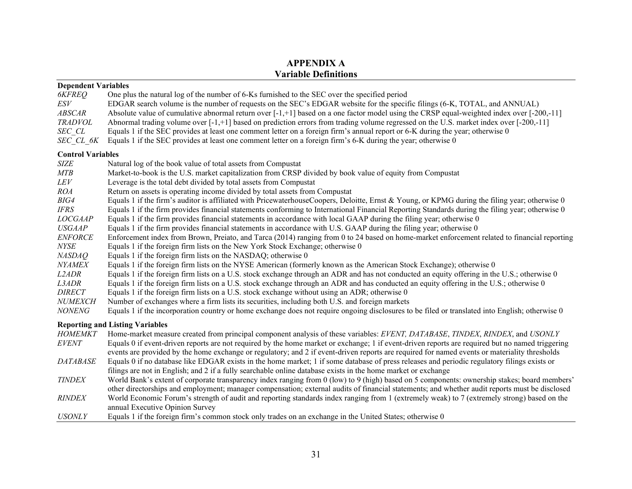# **APPENDIX A Variable Definitions**

| <b>Dependent Variables</b> |                                                                                                                                                  |
|----------------------------|--------------------------------------------------------------------------------------------------------------------------------------------------|
| <b>6KFREQ</b>              | One plus the natural log of the number of 6-Ks furnished to the SEC over the specified period                                                    |
| ESV                        | EDGAR search volume is the number of requests on the SEC's EDGAR website for the specific filings (6-K, TOTAL, and ANNUAL)                       |
| <b>ABSCAR</b>              | Absolute value of cumulative abnormal return over $[-1, +1]$ based on a one factor model using the CRSP equal-weighted index over $[-200, -11]$  |
| <b>TRADVOL</b>             | Abnormal trading volume over [-1,+1] based on prediction errors from trading volume regressed on the U.S. market index over [-200,-11]           |
| SEC CL                     | Equals 1 if the SEC provides at least one comment letter on a foreign firm's annual report or 6-K during the year; otherwise 0                   |
| SEC CL 6K                  | Equals 1 if the SEC provides at least one comment letter on a foreign firm's 6-K during the year; otherwise 0                                    |
| <b>Control Variables</b>   |                                                                                                                                                  |
| <b>SIZE</b>                | Natural log of the book value of total assets from Compustat                                                                                     |
| MTB                        | Market-to-book is the U.S. market capitalization from CRSP divided by book value of equity from Compustat                                        |
| LEV                        | Leverage is the total debt divided by total assets from Compustat                                                                                |
| ROA                        | Return on assets is operating income divided by total assets from Compustat                                                                      |
| BIG4                       | Equals 1 if the firm's auditor is affiliated with PricewaterhouseCoopers, Deloitte, Ernst & Young, or KPMG during the filing year; otherwise 0   |
| <b>IFRS</b>                | Equals 1 if the firm provides financial statements conforming to International Financial Reporting Standards during the filing year; otherwise 0 |
| <b>LOCGAAP</b>             | Equals 1 if the firm provides financial statements in accordance with local GAAP during the filing year; otherwise 0                             |
| <i>USGAAP</i>              | Equals 1 if the firm provides financial statements in accordance with U.S. GAAP during the filing year; otherwise 0                              |
| <b>ENFORCE</b>             | Enforcement index from Brown, Preiato, and Tarca (2014) ranging from 0 to 24 based on home-market enforcement related to financial reporting     |
| <b>NYSE</b>                | Equals 1 if the foreign firm lists on the New York Stock Exchange; otherwise 0                                                                   |
| <b>NASDAQ</b>              | Equals 1 if the foreign firm lists on the NASDAQ; otherwise 0                                                                                    |
| <b>NYAMEX</b>              | Equals 1 if the foreign firm lists on the NYSE American (formerly known as the American Stock Exchange); otherwise 0                             |
| L <sub>2</sub> ADR         | Equals 1 if the foreign firm lists on a U.S. stock exchange through an ADR and has not conducted an equity offering in the U.S.; otherwise 0     |
| L3ADR                      | Equals 1 if the foreign firm lists on a U.S. stock exchange through an ADR and has conducted an equity offering in the U.S.; otherwise 0         |
| <b>DIRECT</b>              | Equals 1 if the foreign firm lists on a U.S. stock exchange without using an ADR; otherwise 0                                                    |
| NUMEXCH                    | Number of exchanges where a firm lists its securities, including both U.S. and foreign markets                                                   |
| <b>NONENG</b>              | Equals 1 if the incorporation country or home exchange does not require ongoing disclosures to be filed or translated into English; otherwise 0  |
|                            | <b>Reporting and Listing Variables</b>                                                                                                           |
| <b>HOMEMKT</b>             | Home-market measure created from principal component analysis of these variables: EVENT, DATABASE, TINDEX, RINDEX, and USONLY                    |
| <b>EVENT</b>               | Equals 0 if event-driven reports are not required by the home market or exchange; 1 if event-driven reports are required but no named triggering |
|                            | events are provided by the home exchange or regulatory; and 2 if event-driven reports are required for named events or materiality thresholds    |
| <b>DATABASE</b>            | Equals 0 if no database like EDGAR exists in the home market; 1 if some database of press releases and periodic regulatory filings exists or     |
|                            | filings are not in English; and 2 if a fully searchable online database exists in the home market or exchange                                    |
| <b>TINDEX</b>              | World Bank's extent of corporate transparency index ranging from 0 (low) to 9 (high) based on 5 components: ownership stakes; board members'     |
|                            | other directorships and employment; manager compensation; external audits of financial statements; and whether audit reports must be disclosed   |
| <b>RINDEX</b>              | World Economic Forum's strength of audit and reporting standards index ranging from 1 (extremely weak) to 7 (extremely strong) based on the      |
|                            | annual Executive Opinion Survey                                                                                                                  |
| <b>USONLY</b>              | Equals 1 if the foreign firm's common stock only trades on an exchange in the United States; otherwise 0                                         |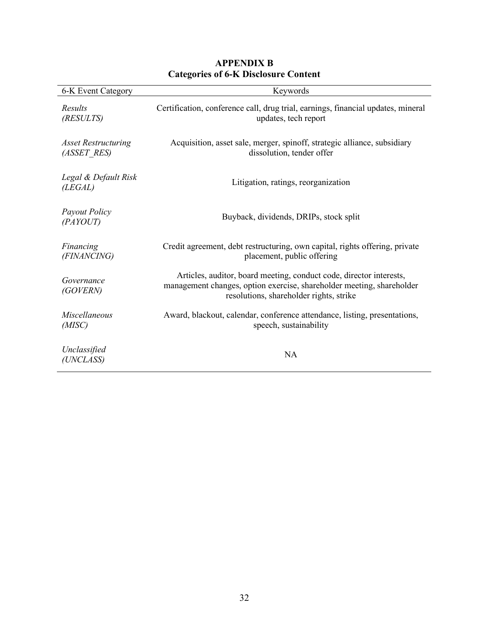| 6-K Event Category                        | Keywords                                                                                                                                                                                |
|-------------------------------------------|-----------------------------------------------------------------------------------------------------------------------------------------------------------------------------------------|
| Results<br>(RESULTS)                      | Certification, conference call, drug trial, earnings, financial updates, mineral<br>updates, tech report                                                                                |
| <b>Asset Restructuring</b><br>(ASSET RES) | Acquisition, asset sale, merger, spinoff, strategic alliance, subsidiary<br>dissolution, tender offer                                                                                   |
| Legal & Default Risk<br>(LEGAL)           | Litigation, ratings, reorganization                                                                                                                                                     |
| <b>Payout Policy</b><br>(PAYOUT)          | Buyback, dividends, DRIPs, stock split                                                                                                                                                  |
| Financing<br>(FINANCING)                  | Credit agreement, debt restructuring, own capital, rights offering, private<br>placement, public offering                                                                               |
| Governance<br>(GOVERN)                    | Articles, auditor, board meeting, conduct code, director interests,<br>management changes, option exercise, shareholder meeting, shareholder<br>resolutions, shareholder rights, strike |
| Miscellaneous<br>(MISC)                   | Award, blackout, calendar, conference attendance, listing, presentations,<br>speech, sustainability                                                                                     |
| Unclassified<br>(UNCLASS)                 | <b>NA</b>                                                                                                                                                                               |

# **APPENDIX B Categories of 6-K Disclosure Content**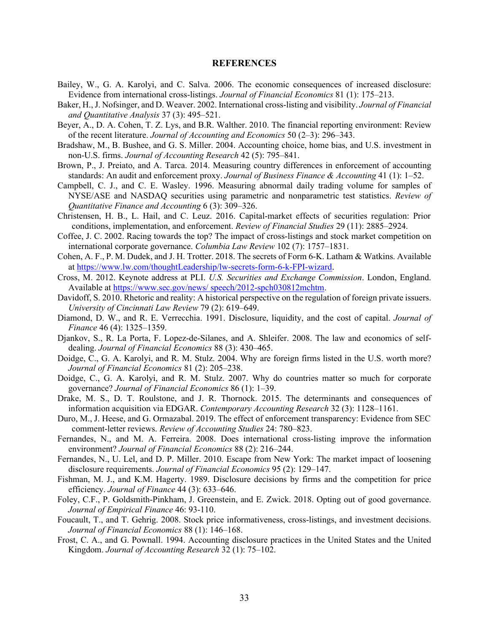#### **REFERENCES**

- Bailey, W., G. A. Karolyi, and C. Salva. 2006. The economic consequences of increased disclosure: Evidence from international cross-listings. *Journal of Financial Economics* 81 (1): 175–213.
- Baker, H., J. Nofsinger, and D. Weaver. 2002. International cross-listing and visibility. *Journal of Financial and Quantitative Analysis* 37 (3): 495–521.
- Beyer, A., D. A. Cohen, T. Z. Lys, and B.R. Walther. 2010. The financial reporting environment: Review of the recent literature. *Journal of Accounting and Economics* 50 (2–3): 296–343.
- Bradshaw, M., B. Bushee, and G. S. Miller. 2004. Accounting choice, home bias, and U.S. investment in non-U.S. firms. *Journal of Accounting Research* 42 (5): 795–841.
- Brown, P., J. Preiato, and A. Tarca. 2014. Measuring country differences in enforcement of accounting standards: An audit and enforcement proxy. *Journal of Business Finance & Accounting* 41 (1): 1–52.
- Campbell, C. J., and C. E. Wasley. 1996. Measuring abnormal daily trading volume for samples of NYSE/ASE and NASDAQ securities using parametric and nonparametric test statistics. *Review of Quantitative Finance and Accounting* 6 (3): 309–326.
- Christensen, H. B., L. Hail, and C. Leuz. 2016. Capital-market effects of securities regulation: Prior conditions, implementation, and enforcement. *Review of Financial Studies* 29 (11): 2885–2924.
- Coffee, J. C. 2002. Racing towards the top? The impact of cross-listings and stock market competition on international corporate governance. *Columbia Law Review* 102 (7): 1757–1831.
- Cohen, A. F., P. M. Dudek, and J. H. Trotter. 2018. The secrets of Form 6-K. Latham & Watkins. Available at [https://www.lw.com/thoughtLeadership/lw-secrets-form-6-k-FPI-wizard.](https://www.lw.com/thoughtLeadership/lw-secrets-form-6-k-FPI-wizard)
- Cross, M. 2012. Keynote address at PLI. *U.S. Securities and Exchange Commission*. London, England. Available a[t https://www.sec.gov/news/ speech/2012-spch030812mchtm.](https://www.sec.gov/news/speech/2012-spch030812mchtm)
- Davidoff, S. 2010. Rhetoric and reality: A historical perspective on the regulation of foreign private issuers. *University of Cincinnati Law Review* 79 (2): 619–649.
- Diamond, D. W., and R. E. Verrecchia. 1991. Disclosure, liquidity, and the cost of capital. *Journal of Finance* 46 (4): 1325–1359.
- Djankov, S., R. La Porta, F. Lopez-de-Silanes, and A. Shleifer. 2008. The law and economics of selfdealing. *Journal of Financial Economics* 88 (3): 430–465.
- Doidge, C., G. A. Karolyi, and R. M. Stulz. 2004. Why are foreign firms listed in the U.S. worth more? *Journal of Financial Economics* 81 (2): 205–238.
- Doidge, C., G. A. Karolyi, and R. M. Stulz. 2007. Why do countries matter so much for corporate governance? *Journal of Financial Economics* 86 (1): 1–39.
- Drake, M. S., D. T. Roulstone, and J. R. Thornock. 2015. The determinants and consequences of information acquisition via EDGAR. *Contemporary Accounting Research* 32 (3): 1128–1161.
- Duro, M., J. Heese, and G. Ormazabal. 2019. The effect of enforcement transparency: Evidence from SEC comment-letter reviews. *Review of Accounting Studies* 24: 780–823.
- Fernandes, N., and M. A. Ferreira. 2008. Does international cross-listing improve the information environment? *Journal of Financial Economics* 88 (2): 216–244.
- Fernandes, N., U. Lel, and D. P. Miller. 2010. Escape from New York: The market impact of loosening disclosure requirements. *Journal of Financial Economics* 95 (2): 129–147.
- Fishman, M. J., and K.M. Hagerty. 1989. Disclosure decisions by firms and the competition for price efficiency. *Journal of Finance* 44 (3): 633–646.
- Foley, C.F., P. Goldsmith-Pinkham, J. Greenstein, and E. Zwick. 2018. Opting out of good governance. *Journal of Empirical Finance* 46: 93-110.
- Foucault, T., and T. Gehrig. 2008. Stock price informativeness, cross-listings, and investment decisions. *Journal of Financial Economics* 88 (1): 146–168.
- Frost, C. A., and G. Pownall. 1994. Accounting disclosure practices in the United States and the United Kingdom. *Journal of Accounting Research* 32 (1): 75–102.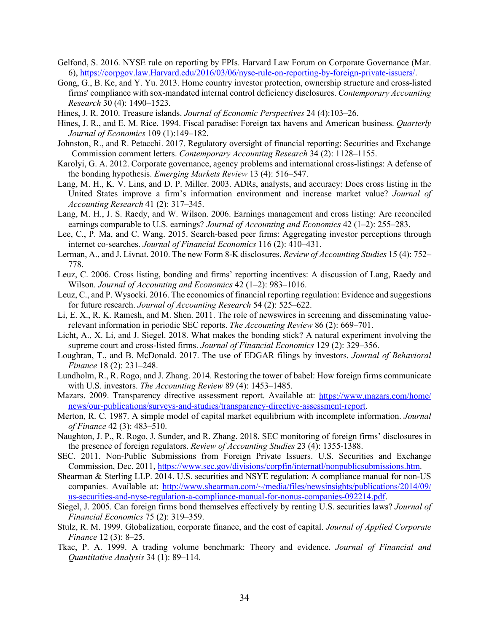- Gelfond, S. 2016. NYSE rule on reporting by FPIs. Harvard Law Forum on Corporate Governance (Mar. 6), [https://corpgov.law.Harvard.edu/2016/03/06/nyse-rule-on-reporting-by-foreign-private-issuers/.](https://corpgov.law.harvard.edu/2016/03/06/nyse-rule-on-reporting-by-foreign-private-issuers/)
- Gong, G., B. Ke, and Y. Yu. 2013. Home country investor protection, ownership structure and cross-listed firms' compliance with sox-mandated internal control deficiency disclosures. *Contemporary Accounting Research* 30 (4): 1490–1523.
- Hines, J. R. 2010. Treasure islands. *Journal of Economic Perspectives* 24 (4):103–26.
- Hines, J. R., and E. M. Rice. 1994. Fiscal paradise: Foreign tax havens and American business. *Quarterly Journal of Economics* 109 (1):149–182.
- Johnston, R., and R. Petacchi. 2017. Regulatory oversight of financial reporting: Securities and Exchange Commission comment letters. *Contemporary Accounting Research* 34 (2): 1128–1155.
- Karolyi, G. A. 2012. Corporate governance, agency problems and international cross-listings: A defense of the bonding hypothesis. *Emerging Markets Review* 13 (4): 516–547.
- Lang, M. H., K. V. Lins, and D. P. Miller. 2003. ADRs, analysts, and accuracy: Does cross listing in the United States improve a firm's information environment and increase market value? *Journal of Accounting Research* 41 (2): 317–345.
- Lang, M. H., J. S. Raedy, and W. Wilson. 2006. Earnings management and cross listing: Are reconciled earnings comparable to U.S. earnings? *Journal of Accounting and Economics* 42 (1–2): 255–283.
- Lee, C., P. Ma, and C. Wang. 2015. Search-based peer firms: Aggregating investor perceptions through internet co-searches. *Journal of Financial Economics* 116 (2): 410–431.
- Lerman, A., and J. Livnat. 2010. The new Form 8-K disclosures. *Review of Accounting Studies* 15 (4): 752– 778.
- Leuz, C. 2006. Cross listing, bonding and firms' reporting incentives: A discussion of Lang, Raedy and Wilson. *Journal of Accounting and Economics* 42 (1–2): 983–1016.
- Leuz, C., and P. Wysocki. 2016. The economics of financial reporting regulation: Evidence and suggestions for future research. *Journal of Accounting Research* 54 (2): 525–622.
- Li, E. X., R. K. Ramesh, and M. Shen. 2011. The role of newswires in screening and disseminating valuerelevant information in periodic SEC reports. *The Accounting Review* 86 (2): 669–701.
- Licht, A., X. Li, and J. Siegel. 2018. What makes the bonding stick? A natural experiment involving the supreme court and cross-listed firms. *Journal of Financial Economics* 129 (2): 329–356.
- Loughran, T., and B. McDonald. 2017. The use of EDGAR filings by investors. *Journal of Behavioral Finance* 18 (2): 231–248.
- Lundholm, R., R. Rogo, and J. Zhang. 2014. Restoring the tower of babel: How foreign firms communicate with U.S. investors. *The Accounting Review* 89 (4): 1453–1485.
- Mazars. 2009. Transparency directive assessment report. Available at: https://www.mazars.com/home/ [news/our-publications/surveys-and-studies/transparency-directive-assessment-report.](https://www.mazars.com/home/news/our-publications/surveys-and-studies/transparency-directive-assessment-report)
- Merton, R. C. 1987. A simple model of capital market equilibrium with incomplete information. *Journal of Finance* 42 (3): 483–510.
- Naughton, J. P., R. Rogo, J. Sunder, and R. Zhang. 2018. SEC monitoring of foreign firms' disclosures in the presence of foreign regulators. *Review of Accounting Studies* 23 (4): 1355-1388.
- SEC. 2011. Non-Public Submissions from Foreign Private Issuers. U.S. Securities and Exchange Commission, Dec. 2011, [https://www.sec.gov/divisions/corpfin/internatl/nonpublicsubmissions.htm.](https://www.sec.gov/divisions/corpfin/internatl/nonpublicsubmissions.htm)
- Shearman & Sterling LLP. 2014. U.S. securities and NSYE regulation: A compliance manual for non-US companies. Available at: [http://www.shearman.com/~/media/files/newsinsights/publications/2014/09/](http://www.shearman.com/%7E/media/files/newsinsights/publications/2014/09/us-securities-and-nyse-regulation-a-compliance-manual-for-nonus-companies-092214.pdf)  [us-securities-and-nyse-regulation-a-compliance-manual-for-nonus-companies-092214.pdf.](http://www.shearman.com/%7E/media/files/newsinsights/publications/2014/09/us-securities-and-nyse-regulation-a-compliance-manual-for-nonus-companies-092214.pdf)
- Siegel, J. 2005. Can foreign firms bond themselves effectively by renting U.S. securities laws? *Journal of Financial Economics* 75 (2): 319–359.
- Stulz, R. M. 1999. Globalization, corporate finance, and the cost of capital. *Journal of Applied Corporate Finance* 12 (3): 8–25.
- Tkac, P. A. 1999. A trading volume benchmark: Theory and evidence. *Journal of Financial and Quantitative Analysis* 34 (1): 89–114.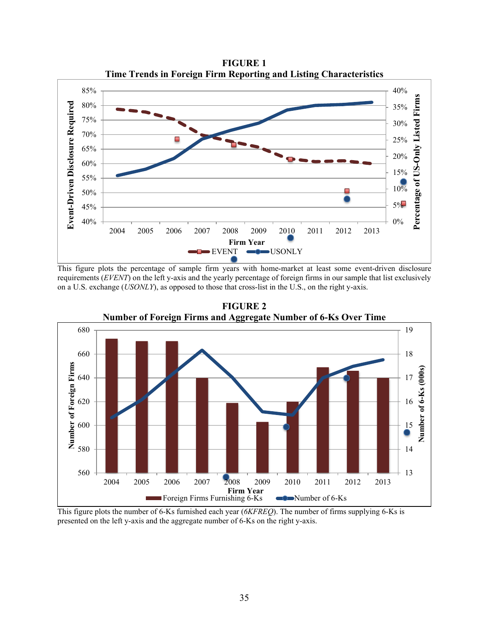

This figure plots the percentage of sample firm years with home-market at least some event-driven disclosure requirements (*EVENT*) on the left y-axis and the yearly percentage of foreign firms in our sample that list exclusively on a U.S. exchange (*USONLY*), as opposed to those that cross-list in the U.S., on the right y-axis.



**FIGURE 2 Number of Foreign Firms and Aggregate Number of 6-Ks Over Time**

This figure plots the number of 6-Ks furnished each year (*6KFREQ*). The number of firms supplying 6-Ks is presented on the left y-axis and the aggregate number of 6-Ks on the right y-axis.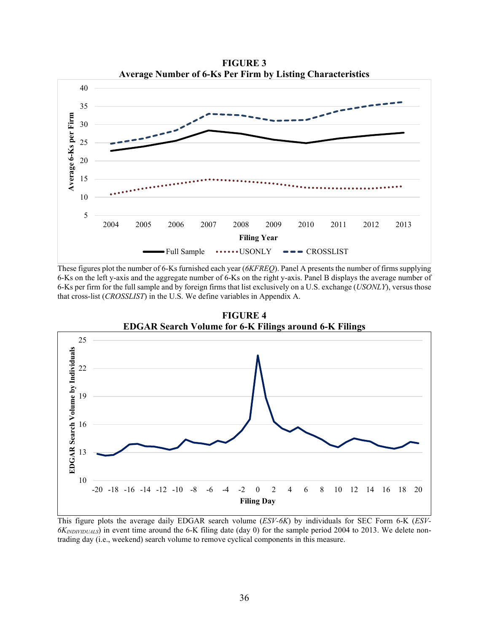

These figures plot the number of 6-Ks furnished each year (*6KFREQ*). Panel A presents the number of firms supplying 6-Ks on the left y-axis and the aggregate number of 6-Ks on the right y-axis. Panel B displays the average number of 6-Ks per firm for the full sample and by foreign firms that list exclusively on a U.S. exchange (*USONLY*), versus those that cross-list (*CROSSLIST*) in the U.S. We define variables in Appendix A.



**FIGURE 4 EDGAR Search Volume for 6-K Filings around 6-K Filings**

This figure plots the average daily EDGAR search volume (*ESV-6K*) by individuals for SEC Form 6-K (*ESV-6K<sub>INDIVIDUALS*</sub>) in event time around the 6-K filing date (day 0) for the sample period 2004 to 2013. We delete nontrading day (i.e., weekend) search volume to remove cyclical components in this measure.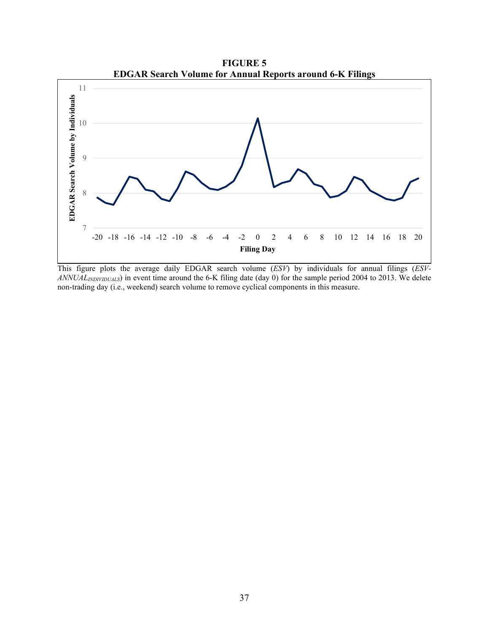**EDGAR Search Volume for Annual Reports around 6-K Filings** 11 EDGAR Search Volume by Individuals **EDGAR Search Volume by Individuals** 10 9 8 7 -20 -18 -16 -14 -12 -10 -8 -6 -4 -2 0 2 4 6 8 10 12 14 16 18 20 **Filing Day**

**FIGURE 5**

This figure plots the average daily EDGAR search volume (*ESV*) by individuals for annual filings (*ESV-ANNUAL<sub>INDIVIDUALS*</sub>) in event time around the 6-K filing date (day 0) for the sample period 2004 to 2013. We delete non-trading day (i.e., weekend) search volume to remove cyclical components in this measure.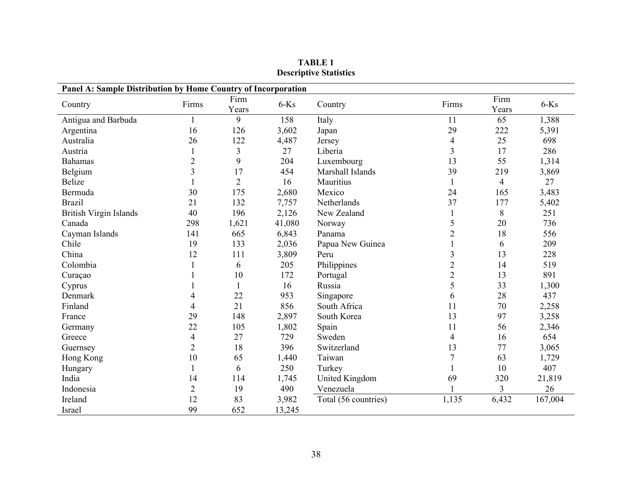| Panel A: Sample Distribution by Home Country of Incorporation |                |                |        |                      |                |                |         |  |
|---------------------------------------------------------------|----------------|----------------|--------|----------------------|----------------|----------------|---------|--|
| Country                                                       | Firms          | Firm           | $6-Ks$ | Country              | Firms          | Firm           | $6-Ks$  |  |
|                                                               |                | Years          |        |                      |                | Years          |         |  |
| Antigua and Barbuda                                           |                | 9              | 158    | Italy                | 11             | 65             | 1,388   |  |
| Argentina                                                     | 16             | 126            | 3,602  | Japan                | 29             | 222            | 5,391   |  |
| Australia                                                     | 26             | 122            | 4,487  | Jersey               | 4              | 25             | 698     |  |
| Austria                                                       |                | 3              | 27     | Liberia              | $\overline{3}$ | 17             | 286     |  |
| <b>Bahamas</b>                                                | $\overline{2}$ | 9              | 204    | Luxembourg           | 13             | 55             | 1,314   |  |
| Belgium                                                       | 3              | 17             | 454    | Marshall Islands     | 39             | 219            | 3,869   |  |
| <b>Belize</b>                                                 |                | $\overline{2}$ | 16     | Mauritius            | 1              | $\overline{4}$ | 27      |  |
| Bermuda                                                       | 30             | 175            | 2,680  | Mexico               | 24             | 165            | 3,483   |  |
| <b>Brazil</b>                                                 | 21             | 132            | 7,757  | Netherlands          | 37             | 177            | 5,402   |  |
| <b>British Virgin Islands</b>                                 | 40             | 196            | 2,126  | New Zealand          |                | 8              | 251     |  |
| Canada                                                        | 298            | 1,621          | 41,080 | Norway               | 5              | 20             | 736     |  |
| Cayman Islands                                                | 141            | 665            | 6,843  | Panama               | 2              | 18             | 556     |  |
| Chile                                                         | 19             | 133            | 2,036  | Papua New Guinea     |                | 6              | 209     |  |
| China                                                         | 12             | 111            | 3,809  | Peru                 | 3              | 13             | 228     |  |
| Colombia                                                      |                | 6              | 205    | Philippines          | $\mathfrak{2}$ | 14             | 519     |  |
| Curaçao                                                       |                | 10             | 172    | Portugal             | $\mathbf{2}$   | 13             | 891     |  |
| Cyprus                                                        |                | $\mathbf{1}$   | 16     | Russia               | 5              | 33             | 1,300   |  |
| Denmark                                                       | $\overline{4}$ | 22             | 953    | Singapore            | 6              | 28             | 437     |  |
| Finland                                                       | 4              | 21             | 856    | South Africa         | 11             | 70             | 2,258   |  |
| France                                                        | 29             | 148            | 2,897  | South Korea          | 13             | 97             | 3,258   |  |
| Germany                                                       | 22             | 105            | 1,802  | Spain                | 11             | 56             | 2,346   |  |
| Greece                                                        | 4              | 27             | 729    | Sweden               | 4              | 16             | 654     |  |
| Guernsey                                                      | $\overline{2}$ | 18             | 396    | Switzerland          | 13             | 77             | 3,065   |  |
| Hong Kong                                                     | 10             | 65             | 1,440  | Taiwan               |                | 63             | 1,729   |  |
| Hungary                                                       | $\mathbf{1}$   | 6              | 250    | Turkey               | 1              | 10             | 407     |  |
| India                                                         | 14             | 114            | 1,745  | United Kingdom       | 69             | 320            | 21,819  |  |
| Indonesia                                                     | $\overline{2}$ | 19             | 490    | Venezuela            |                | $\overline{3}$ | 26      |  |
| Ireland                                                       | 12             | 83             | 3,982  | Total (56 countries) | 1,135          | 6,432          | 167,004 |  |
| Israel                                                        | 99             | 652            | 13,245 |                      |                |                |         |  |

**TABLE 1 Descriptive Statistics**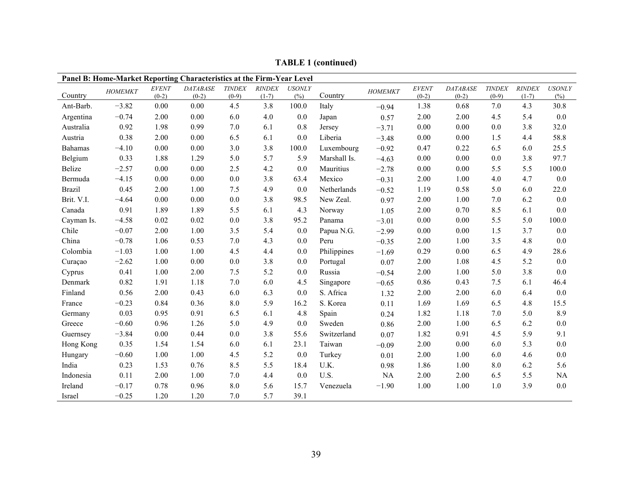|                | Panel B: Home-Market Reporting Characteristics at the Firm-Year Level |                         |                            |                          |                          |                      |              |           |                         |                            |                          |                          |                      |
|----------------|-----------------------------------------------------------------------|-------------------------|----------------------------|--------------------------|--------------------------|----------------------|--------------|-----------|-------------------------|----------------------------|--------------------------|--------------------------|----------------------|
| Country        | <b>HOMEMKT</b>                                                        | <b>EVENT</b><br>$(0-2)$ | <b>DATABASE</b><br>$(0-2)$ | <b>TINDEX</b><br>$(0-9)$ | <b>RINDEX</b><br>$(1-7)$ | <b>USONLY</b><br>(%) | Country      | HOMEMKT   | <b>EVENT</b><br>$(0-2)$ | <b>DATABASE</b><br>$(0-2)$ | <b>TINDEX</b><br>$(0-9)$ | <b>RINDEX</b><br>$(1-7)$ | <b>USONLY</b><br>(%) |
| Ant-Barb.      | $-3.82$                                                               | 0.00                    | 0.00                       | 4.5                      | 3.8                      | 100.0                | Italy        | $-0.94$   | 1.38                    | 0.68                       | 7.0                      | 4.3                      | 30.8                 |
| Argentina      | $-0.74$                                                               | 2.00                    | 0.00                       | 6.0                      | 4.0                      | 0.0                  | Japan        | 0.57      | 2.00                    | 2.00                       | 4.5                      | 5.4                      | 0.0                  |
| Australia      | 0.92                                                                  | 1.98                    | 0.99                       | 7.0                      | 6.1                      | 0.8                  | Jersey       | $-3.71$   | 0.00                    | 0.00                       | 0.0                      | 3.8                      | 32.0                 |
| Austria        | 0.38                                                                  | 2.00                    | 0.00                       | 6.5                      | 6.1                      | 0.0                  | Liberia      | $-3.48$   | 0.00                    | 0.00                       | 1.5                      | 4.4                      | 58.8                 |
| <b>Bahamas</b> | $-4.10$                                                               | 0.00                    | 0.00                       | 3.0                      | 3.8                      | 100.0                | Luxembourg   | $-0.92$   | 0.47                    | 0.22                       | 6.5                      | 6.0                      | 25.5                 |
| Belgium        | 0.33                                                                  | 1.88                    | 1.29                       | 5.0                      | 5.7                      | 5.9                  | Marshall Is. | $-4.63$   | 0.00                    | 0.00                       | 0.0                      | 3.8                      | 97.7                 |
| Belize         | $-2.57$                                                               | 0.00                    | 0.00                       | 2.5                      | 4.2                      | 0.0                  | Mauritius    | $-2.78$   | 0.00                    | 0.00                       | 5.5                      | 5.5                      | 100.0                |
| Bermuda        | $-4.15$                                                               | 0.00                    | 0.00                       | 0.0                      | 3.8                      | 63.4                 | Mexico       | $-0.31$   | 2.00                    | 1.00                       | 4.0                      | 4.7                      | $0.0\,$              |
| <b>Brazil</b>  | 0.45                                                                  | 2.00                    | 1.00                       | 7.5                      | 4.9                      | 0.0                  | Netherlands  | $-0.52$   | 1.19                    | 0.58                       | 5.0                      | 6.0                      | 22.0                 |
| Brit. V.I.     | $-4.64$                                                               | 0.00                    | 0.00                       | 0.0                      | 3.8                      | 98.5                 | New Zeal.    | 0.97      | 2.00                    | 1.00                       | 7.0                      | 6.2                      | 0.0                  |
| Canada         | 0.91                                                                  | 1.89                    | 1.89                       | 5.5                      | 6.1                      | 4.3                  | Norway       | 1.05      | 2.00                    | 0.70                       | 8.5                      | 6.1                      | 0.0                  |
| Cayman Is.     | $-4.58$                                                               | 0.02                    | 0.02                       | 0.0                      | 3.8                      | 95.2                 | Panama       | $-3.01$   | 0.00                    | 0.00                       | 5.5                      | 5.0                      | 100.0                |
| Chile          | $-0.07$                                                               | 2.00                    | 1.00                       | 3.5                      | 5.4                      | 0.0                  | Papua N.G.   | $-2.99$   | 0.00                    | 0.00                       | 1.5                      | 3.7                      | 0.0                  |
| China          | $-0.78$                                                               | 1.06                    | 0.53                       | 7.0                      | 4.3                      | 0.0                  | Peru         | $-0.35$   | 2.00                    | 1.00                       | 3.5                      | 4.8                      | 0.0                  |
| Colombia       | $-1.03$                                                               | 1.00                    | 1.00                       | 4.5                      | 4.4                      | 0.0                  | Philippines  | $-1.69$   | 0.29                    | 0.00                       | 6.5                      | 4.9                      | 28.6                 |
| Curaçao        | $-2.62$                                                               | 1.00                    | 0.00                       | 0.0                      | 3.8                      | 0.0                  | Portugal     | 0.07      | 2.00                    | 1.08                       | 4.5                      | 5.2                      | 0.0                  |
| Cyprus         | 0.41                                                                  | 1.00                    | 2.00                       | 7.5                      | 5.2                      | 0.0                  | Russia       | $-0.54$   | 2.00                    | 1.00                       | 5.0                      | 3.8                      | 0.0                  |
| Denmark        | 0.82                                                                  | 1.91                    | 1.18                       | 7.0                      | 6.0                      | 4.5                  | Singapore    | $-0.65$   | 0.86                    | 0.43                       | 7.5                      | 6.1                      | 46.4                 |
| Finland        | 0.56                                                                  | 2.00                    | 0.43                       | 6.0                      | 6.3                      | 0.0                  | S. Africa    | 1.32      | 2.00                    | 2.00                       | 6.0                      | 6.4                      | 0.0                  |
| France         | $-0.23$                                                               | 0.84                    | 0.36                       | 8.0                      | 5.9                      | 16.2                 | S. Korea     | 0.11      | 1.69                    | 1.69                       | 6.5                      | 4.8                      | 15.5                 |
| Germany        | 0.03                                                                  | 0.95                    | 0.91                       | 6.5                      | 6.1                      | 4.8                  | Spain        | 0.24      | 1.82                    | 1.18                       | 7.0                      | 5.0                      | 8.9                  |
| Greece         | $-0.60$                                                               | 0.96                    | 1.26                       | 5.0                      | 4.9                      | 0.0                  | Sweden       | 0.86      | 2.00                    | 1.00                       | 6.5                      | 6.2                      | 0.0                  |
| Guernsey       | $-3.84$                                                               | 0.00                    | 0.44                       | 0.0                      | 3.8                      | 55.6                 | Switzerland  | 0.07      | 1.82                    | 0.91                       | 4.5                      | 5.9                      | 9.1                  |
| Hong Kong      | 0.35                                                                  | 1.54                    | 1.54                       | 6.0                      | 6.1                      | 23.1                 | Taiwan       | $-0.09$   | 2.00                    | 0.00                       | 6.0                      | 5.3                      | 0.0                  |
| Hungary        | $-0.60$                                                               | 1.00                    | 1.00                       | 4.5                      | 5.2                      | 0.0                  | Turkey       | 0.01      | 2.00                    | 1.00                       | 6.0                      | 4.6                      | 0.0                  |
| India          | 0.23                                                                  | 1.53                    | 0.76                       | 8.5                      | 5.5                      | 18.4                 | U.K.         | 0.98      | 1.86                    | 1.00                       | 8.0                      | 6.2                      | 5.6                  |
| Indonesia      | 0.11                                                                  | 2.00                    | 1.00                       | 7.0                      | 4.4                      | 0.0                  | U.S.         | <b>NA</b> | 2.00                    | 2.00                       | 6.5                      | 5.5                      | NA                   |
| Ireland        | $-0.17$                                                               | 0.78                    | 0.96                       | 8.0                      | 5.6                      | 15.7                 | Venezuela    | $-1.90$   | 1.00                    | 1.00                       | 1.0                      | 3.9                      | 0.0                  |
| Israel         | $-0.25$                                                               | 1.20                    | 1.20                       | 7.0                      | 5.7                      | 39.1                 |              |           |                         |                            |                          |                          |                      |

**TABLE 1 (continued)**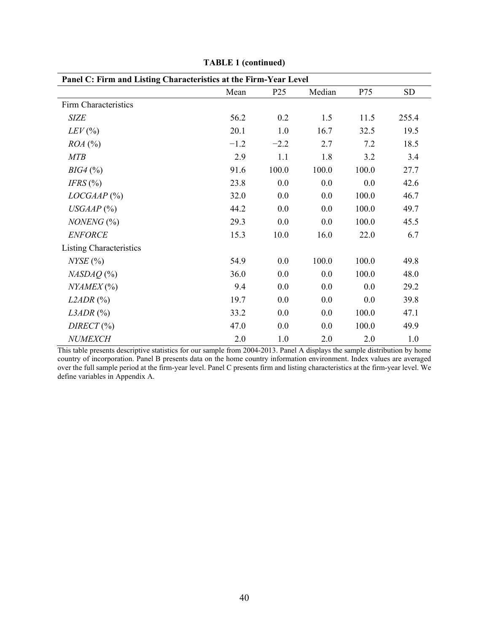| Panel C: Firm and Listing Characteristics at the Firm-Year Level |        |                 |        |       |           |  |  |  |
|------------------------------------------------------------------|--------|-----------------|--------|-------|-----------|--|--|--|
|                                                                  | Mean   | P <sub>25</sub> | Median | P75   | <b>SD</b> |  |  |  |
| Firm Characteristics                                             |        |                 |        |       |           |  |  |  |
| <b>SIZE</b>                                                      | 56.2   | 0.2             | 1.5    | 11.5  | 255.4     |  |  |  |
| $LEV$ (%)                                                        | 20.1   | 1.0             | 16.7   | 32.5  | 19.5      |  |  |  |
| ROA (%)                                                          | $-1.2$ | $-2.2$          | 2.7    | 7.2   | 18.5      |  |  |  |
| <b>MTB</b>                                                       | 2.9    | 1.1             | 1.8    | 3.2   | 3.4       |  |  |  |
| $BIG4$ (%)                                                       | 91.6   | 100.0           | 100.0  | 100.0 | 27.7      |  |  |  |
| $IFRS$ $%$                                                       | 23.8   | 0.0             | 0.0    | 0.0   | 42.6      |  |  |  |
| $LOGAAP$ (%)                                                     | 32.0   | 0.0             | 0.0    | 100.0 | 46.7      |  |  |  |
| $USGAAP$ $(\%)$                                                  | 44.2   | 0.0             | 0.0    | 100.0 | 49.7      |  |  |  |
| NONENG <sup>(%)</sup>                                            | 29.3   | 0.0             | 0.0    | 100.0 | 45.5      |  |  |  |
| <b>ENFORCE</b>                                                   | 15.3   | 10.0            | 16.0   | 22.0  | 6.7       |  |  |  |
| <b>Listing Characteristics</b>                                   |        |                 |        |       |           |  |  |  |
| NYSE(%)                                                          | 54.9   | 0.0             | 100.0  | 100.0 | 49.8      |  |  |  |
| $NASDAQ$ (%)                                                     | 36.0   | 0.0             | 0.0    | 100.0 | 48.0      |  |  |  |
| $NYAMEX$ (%)                                                     | 9.4    | 0.0             | 0.0    | 0.0   | 29.2      |  |  |  |
| $L2ADR$ (%)                                                      | 19.7   | 0.0             | 0.0    | 0.0   | 39.8      |  |  |  |
| $L3ADR$ (%)                                                      | 33.2   | 0.0             | 0.0    | 100.0 | 47.1      |  |  |  |
| $DIRECT$ (%)                                                     | 47.0   | 0.0             | 0.0    | 100.0 | 49.9      |  |  |  |
| NUMEXCH                                                          | 2.0    | 1.0             | 2.0    | 2.0   | 1.0       |  |  |  |

**TABLE 1 (continued)**

This table presents descriptive statistics for our sample from 2004-2013. Panel A displays the sample distribution by home country of incorporation. Panel B presents data on the home country information environment. Index values are averaged over the full sample period at the firm-year level. Panel C presents firm and listing characteristics at the firm-year level. We define variables in Appendix A.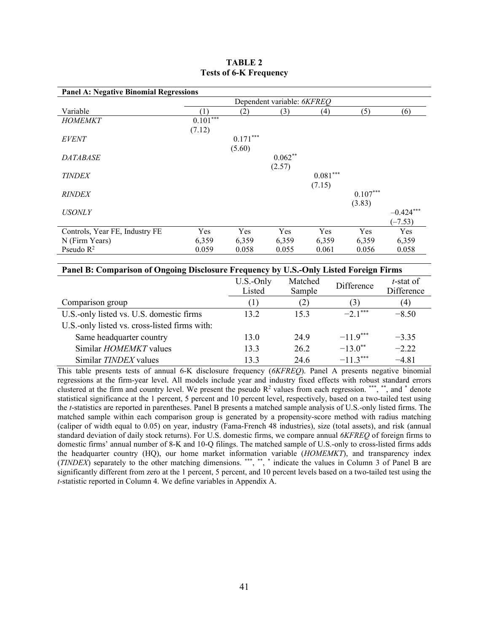| <b>Panel A: Negative Binomial Regressions</b> |                            |            |           |            |            |             |  |  |
|-----------------------------------------------|----------------------------|------------|-----------|------------|------------|-------------|--|--|
|                                               | Dependent variable: 6KFREO |            |           |            |            |             |  |  |
| Variable                                      | (1)                        | (2)        | (3)       | (4)        | (5)        | (6)         |  |  |
| <b>HOMEMKT</b>                                | $0.101***$                 |            |           |            |            |             |  |  |
|                                               | (7.12)                     |            |           |            |            |             |  |  |
| <b>EVENT</b>                                  |                            | $0.171***$ |           |            |            |             |  |  |
|                                               |                            | (5.60)     |           |            |            |             |  |  |
| <i>DATABASE</i>                               |                            |            | $0.062**$ |            |            |             |  |  |
|                                               |                            |            | (2.57)    |            |            |             |  |  |
| <b>TINDEX</b>                                 |                            |            |           | $0.081***$ |            |             |  |  |
|                                               |                            |            |           | (7.15)     |            |             |  |  |
| <b>RINDEX</b>                                 |                            |            |           |            | $0.107***$ |             |  |  |
|                                               |                            |            |           |            | (3.83)     |             |  |  |
| <b>USONLY</b>                                 |                            |            |           |            |            | $-0.424***$ |  |  |
|                                               |                            |            |           |            |            | $(-7.53)$   |  |  |
| Controls, Year FE, Industry FE                | Yes                        | Yes        | Yes       | Yes        | Yes        | Yes         |  |  |
| N (Firm Years)                                | 6,359                      | 6,359      | 6,359     | 6,359      | 6,359      | 6,359       |  |  |
| Pseudo $R^2$                                  | 0.059                      | 0.058      | 0.055     | 0.061      | 0.056      | 0.058       |  |  |

## **TABLE 2 Tests of 6-K Frequency**

# **Panel B: Comparison of Ongoing Disclosure Frequency by U.S.-Only Listed Foreign Firms**

|                                               | U.S.-Only | Matched | Difference            | $t$ -stat of |
|-----------------------------------------------|-----------|---------|-----------------------|--------------|
|                                               | Listed    | Sample  |                       | Difference   |
| Comparison group                              | L 1       | (2)     | $\mathbf{3}$          | (4)          |
| U.S.-only listed vs. U.S. domestic firms      | 13.2      | 15.3    | $-2.1***$             | $-8.50$      |
| U.S.-only listed vs. cross-listed firms with: |           |         |                       |              |
| Same headquarter country                      | 13.0      | 24.9    | $-11.9***$            | $-3.35$      |
| Similar <i>HOMEMKT</i> values                 | 13.3      | 26.2    | $-13.0$ <sup>**</sup> | $-2.22$      |
| Similar TINDEX values                         | 13.3      | 24.6    | $-11.3***$            | $-4.81$      |

This table presents tests of annual 6-K disclosure frequency (*6KFREQ*). Panel A presents negative binomial regressions at the firm-year level. All models include year and industry fixed effects with robust standard errors clustered at the firm and country level. We present the pseudo  $R^2$  values from each regression. \*\*\*, \*\*, and \* denote statistical significance at the 1 percent, 5 percent and 10 percent level, respectively, based on a two-tailed test using the *t*-statistics are reported in parentheses. Panel B presents a matched sample analysis of U.S.-only listed firms. The matched sample within each comparison group is generated by a propensity-score method with radius matching (caliper of width equal to 0.05) on year, industry (Fama-French 48 industries), size (total assets), and risk (annual standard deviation of daily stock returns). For U.S. domestic firms, we compare annual *6KFREQ* of foreign firms to domestic firms' annual number of 8-K and 10-Q filings. The matched sample of U.S.-only to cross-listed firms adds the headquarter country (HQ), our home market information variable (*HOMEMKT*), and transparency index (*TINDEX*) separately to the other matching dimensions. \*\*\*, \*\*, \* indicate the values in Column 3 of Panel B are significantly different from zero at the 1 percent, 5 percent, and 10 percent levels based on a two-tailed test using the *t*-statistic reported in Column 4. We define variables in Appendix A.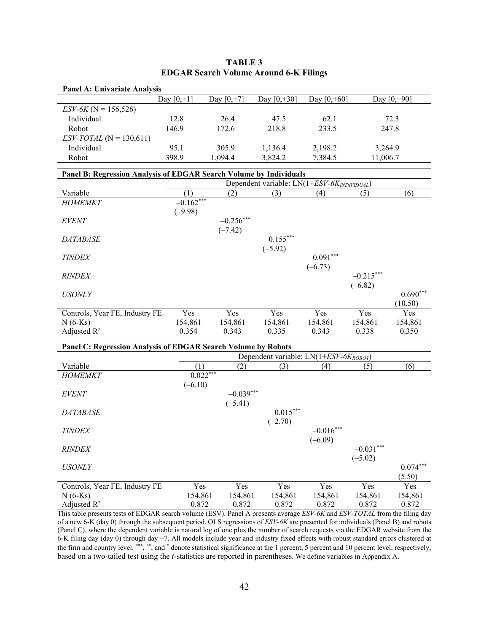| Panel A: Univariate Analysis                                       |               |               |                                                         |                |             |                |
|--------------------------------------------------------------------|---------------|---------------|---------------------------------------------------------|----------------|-------------|----------------|
|                                                                    | Day $[0, +1]$ | Day $[0, +7]$ | Day $[0, +30]$                                          | Day $[0, +60]$ |             | Day $[0, +90]$ |
| $ESV-6K$ (N = 156,526)                                             |               |               |                                                         |                |             |                |
| Individual                                                         | 12.8          | 26.4          | 47.5                                                    | 62.1           |             | 72.3           |
| Robot                                                              | 146.9         | 172.6         | 218.8                                                   | 233.5          |             | 247.8          |
| $ESV-TOTAL (N = 130,611)$                                          |               |               |                                                         |                |             |                |
| Individual                                                         | 95.1          | 305.9         | 1,136.4                                                 | 2,198.2        | 3,264.9     |                |
| Robot                                                              | 398.9         | 1,094.4       | 3,824.2                                                 | 7,384.5        | 11,006.7    |                |
|                                                                    |               |               |                                                         |                |             |                |
| Panel B: Regression Analysis of EDGAR Search Volume by Individuals |               |               |                                                         |                |             |                |
|                                                                    |               |               | Dependent variable: LN(1+ESV-6K <sub>INDIVIDUAL</sub> ) |                |             |                |
| Variable                                                           | (1)           | (2)           | (3)                                                     | (4)            | (5)         | (6)            |
| HOMEMKT                                                            | $-0.162***$   |               |                                                         |                |             |                |
|                                                                    | $(-9.98)$     |               |                                                         |                |             |                |
| <b>EVENT</b>                                                       |               | $-0.256***$   |                                                         |                |             |                |
|                                                                    |               | $(-7.42)$     |                                                         |                |             |                |
| <b>DATABASE</b>                                                    |               |               | $-0.155***$                                             |                |             |                |
|                                                                    |               |               | $(-5.92)$                                               |                |             |                |
| <b>TINDEX</b>                                                      |               |               |                                                         | $-0.091***$    |             |                |
|                                                                    |               |               |                                                         | $(-6.73)$      |             |                |
| <b>RINDEX</b>                                                      |               |               |                                                         |                | $-0.215***$ |                |
|                                                                    |               |               |                                                         |                | $(-6.82)$   |                |
| <b>USONLY</b>                                                      |               |               |                                                         |                |             | $0.690***$     |
|                                                                    |               |               |                                                         |                |             | (10.50)        |
| Controls, Year FE, Industry FE                                     | Yes           | Yes           | Yes                                                     | Yes            | Yes         | Yes            |
| $N(6-Ks)$                                                          | 154,861       | 154,861       | 154,861                                                 | 154,861        | 154,861     | 154,861        |
| Adjusted $R^2$                                                     | 0.354         | 0.343         | 0.335                                                   | 0.343          | 0.338       | 0.350          |
| Panel C: Regression Analysis of EDGAR Search Volume by Robots      |               |               |                                                         |                |             |                |
|                                                                    |               |               | Dependent variable: LN(1+ESV-6KROBOT)                   |                |             |                |
| Variable                                                           | (1)           | (2)           | (3)                                                     | (4)            | (5)         | (6)            |
| HOMEMKT                                                            | $-0.022***$   |               |                                                         |                |             |                |
|                                                                    | $(-6.10)$     |               |                                                         |                |             |                |
| <i>EVENT</i>                                                       |               | $-0.039***$   |                                                         |                |             |                |
|                                                                    |               | $(-5.41)$     |                                                         |                |             |                |
| <b>DATABASE</b>                                                    |               |               | $-0.015***$                                             |                |             |                |
|                                                                    |               |               | $(-2.70)$                                               |                |             |                |
| <b>TINDEX</b>                                                      |               |               |                                                         | $-0.016***$    |             |                |
|                                                                    |               |               |                                                         | $(-6.09)$      |             |                |
| <b>RINDEX</b>                                                      |               |               |                                                         |                | $-0.031***$ |                |
|                                                                    |               |               |                                                         |                | $(-5.02)$   |                |
| <b>USONLY</b>                                                      |               |               |                                                         |                |             | $0.074***$     |
|                                                                    |               |               |                                                         |                |             | (5.50)         |
| Controls, Year FE, Industry FE                                     | Yes           | Yes           | Yes                                                     | Yes            | Yes         | Yes            |
| $N(6-Ks)$                                                          | 154,861       | 154,861       | 154,861                                                 | 154,861        | 154,861     | 154,861        |
| Adjusted $R^2$                                                     | 0.872         | 0.872         | 0.872                                                   | 0.872          | 0.872       | 0.872          |

**TABLE 3 EDGAR Search Volume Around 6-K Filings**

This table presents tests of EDGAR search volume (ESV). Panel A presents average *ESV-6K* and *ESV-TOTAL* from the filing day of a new 6-K (day 0) through the subsequent period. OLS regressions of *ESV-6K* are presented for individuals (Panel B) and robots (Panel C), where the dependent variable is natural log of one plus the number of search requests via the EDGAR website from the 6-K filing day (day 0) through day +7. All models include year and industry fixed effects with robust standard errors clustered at the firm and country level. \*\*\*, \*\*, and \* denote statistical significance at the 1 percent, 5 percent and 10 percent level, respectively, based on a two-tailed test using the *t*-statistics are reported in parentheses. We define variables in Appendix A.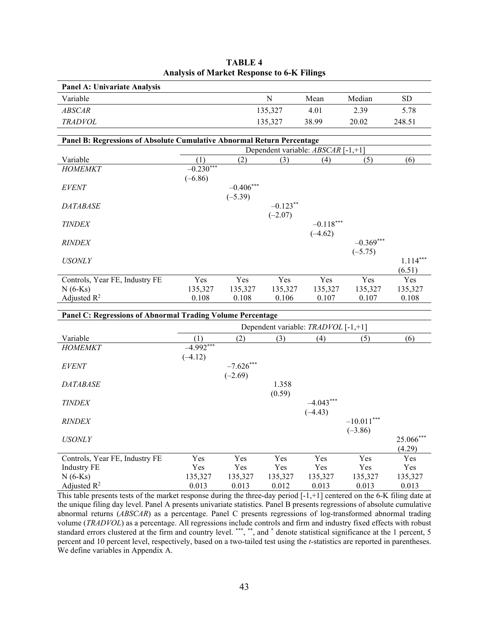| <b>Panel A: Univariate Analysis</b>                                    |                  |                          |                         |                                     |                           |                      |
|------------------------------------------------------------------------|------------------|--------------------------|-------------------------|-------------------------------------|---------------------------|----------------------|
| Variable                                                               |                  |                          | N                       | Mean                                | Median                    | <b>SD</b>            |
| <b>ABSCAR</b>                                                          |                  |                          | 135,327                 | 4.01                                | 2.39                      | 5.78                 |
| <b>TRADVOL</b>                                                         |                  |                          | 135,327                 | 38.99                               | 20.02                     | 248.51               |
|                                                                        |                  |                          |                         |                                     |                           |                      |
| Panel B: Regressions of Absolute Cumulative Abnormal Return Percentage |                  |                          |                         | Dependent variable: ABSCAR [-1,+1]  |                           |                      |
| Variable                                                               | (1)              | (2)                      | (3)                     | (4)                                 | (5)                       | (6)                  |
| <b>HOMEMKT</b>                                                         | $-0.230***$      |                          |                         |                                     |                           |                      |
| <b>EVENT</b>                                                           | $(-6.86)$        | $-0.406***$<br>$(-5.39)$ |                         |                                     |                           |                      |
| <i>DATABASE</i>                                                        |                  |                          | $-0.123**$<br>$(-2.07)$ |                                     |                           |                      |
| <b>TINDEX</b>                                                          |                  |                          |                         | $-0.118***$<br>$(-4.62)$            |                           |                      |
| <b>RINDEX</b>                                                          |                  |                          |                         |                                     | $-0.369***$<br>$(-5.75)$  |                      |
| <b>USONLY</b>                                                          |                  |                          |                         |                                     |                           | $1.114***$<br>(6.51) |
| Controls, Year FE, Industry FE                                         | Yes              | Yes                      | Yes                     | Yes                                 | Yes                       | Yes                  |
| $N(6-Ks)$                                                              | 135,327          | 135,327                  | 135,327                 | 135,327                             | 135,327                   | 135,327              |
| Adjusted $R^2$                                                         | 0.108            | 0.108                    | 0.106                   | 0.107                               | 0.107                     | 0.108                |
| Panel C: Regressions of Abnormal Trading Volume Percentage             |                  |                          |                         |                                     |                           |                      |
|                                                                        |                  |                          |                         | Dependent variable: TRADVOL [-1,+1] |                           |                      |
| Variable                                                               | (1)              | (2)                      | (3)                     | (4)                                 | (5)                       | (6)                  |
| <b>HOMEMKT</b>                                                         | $-4.992***$      |                          |                         |                                     |                           |                      |
| EVENT                                                                  | $(-4.12)$        | $-7.626***$<br>$(-2.69)$ |                         |                                     |                           |                      |
| <b>DATABASE</b>                                                        |                  |                          | 1.358<br>(0.59)         |                                     |                           |                      |
| <b>TINDEX</b>                                                          |                  |                          |                         | $-4.043***$<br>$(-4.43)$            |                           |                      |
| <b>RINDEX</b>                                                          |                  |                          |                         |                                     | $-10.011***$<br>$(-3.86)$ |                      |
| <b>USONLY</b>                                                          |                  |                          |                         |                                     |                           | 25.066***<br>(4.29)  |
| Controls, Year FE, Industry FE                                         | Yes              | Yes                      | Yes                     | Yes                                 | Yes                       | Yes                  |
| <b>Industry FE</b>                                                     | Yes              | Yes                      | Yes                     | Yes                                 | Yes                       | Yes                  |
| $N(6-Ks)$<br>Adjusted $R^2$                                            | 135,327<br>0.013 | 135,327<br>0.013         | 135,327<br>0.012        | 135,327<br>0.013                    | 135,327<br>0.013          | 135,327<br>0.013     |
|                                                                        |                  |                          |                         |                                     |                           |                      |

**TABLE 4 Analysis of Market Response to 6-K Filings**

This table presents tests of the market response during the three-day period [-1,+1] centered on the 6-K filing date at the unique filing day level. Panel A presents univariate statistics. Panel B presents regressions of absolute cumulative abnormal returns (*ABSCAR*) as a percentage. Panel C presents regressions of log-transformed abnormal trading volume (*TRADVOL*) as a percentage. All regressions include controls and firm and industry fixed effects with robust standard errors clustered at the firm and country level. \*\*\*, \*\*, and \* denote statistical significance at the 1 percent, 5 percent and 10 percent level, respectively, based on a two-tailed test using the *t*-statistics are reported in parentheses. We define variables in Appendix A.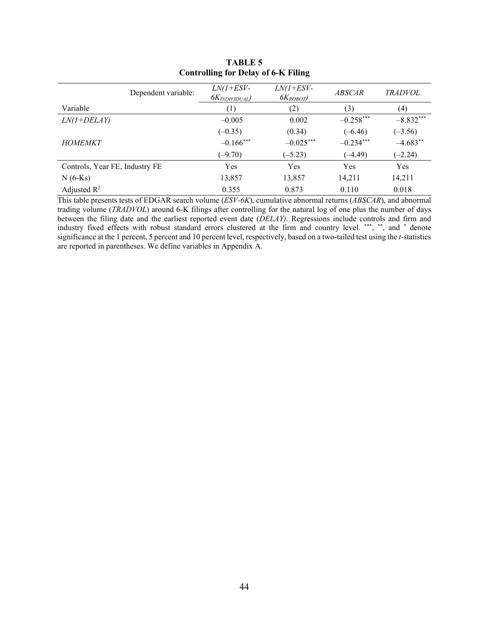|                                | Dependent variable: | $LN(1+ESV-$<br><i><b>6K</b>INDIVIDUAL</i> ) | $LN(I+ESV-$<br>$6K_{ROBOT}$ | <b>ABSCAR</b> | <i>TRADVOL</i>    |
|--------------------------------|---------------------|---------------------------------------------|-----------------------------|---------------|-------------------|
| Variable                       |                     | (1)                                         | (2)                         | (3)           | $\left( 4\right)$ |
| $LN(I+DELAY)$                  |                     | $-0.005$                                    | 0.002                       | $-0.258***$   | $-8.832***$       |
|                                |                     | $(-0.35)$                                   | (0.34)                      | $(-6.46)$     | $(-3.56)$         |
| <b>HOMEMKT</b>                 |                     | $-0.166$ ***                                | $-0.025***$                 | $-0.234***$   | $-4.683**$        |
|                                |                     | $(-9.70)$                                   | $(-5.23)$                   | $(-4.49)$     | $(-2.24)$         |
| Controls, Year FE, Industry FE |                     | Yes                                         | Yes                         | Yes           | Yes               |
| $N(6-Ks)$                      |                     | 13,857                                      | 13,857                      | 14,211        | 14,211            |
| Adjusted $\mathbb{R}^2$        |                     | 0.355                                       | 0.873                       | 0.110         | 0.018             |

**TABLE 5 Controlling for Delay of 6-K Filing**

This table presents tests of EDGAR search volume (*ESV-6K*), cumulative abnormal returns (*ABSCAR*), and abnormal trading volume (*TRADVOL*) around 6-K filings after controlling for the natural log of one plus the number of days between the filing date and the earliest reported event date (*DELAY)*. Regressions include controls and firm and industry fixed effects with robust standard errors clustered at the firm and country level. \*\*\*, \*\*, and \* denote significance at the 1 percent, 5 percent and 10 percent level, respectively, based on a two-tailed test using the *t*-statistics are reported in parentheses. We define variables in Appendix A.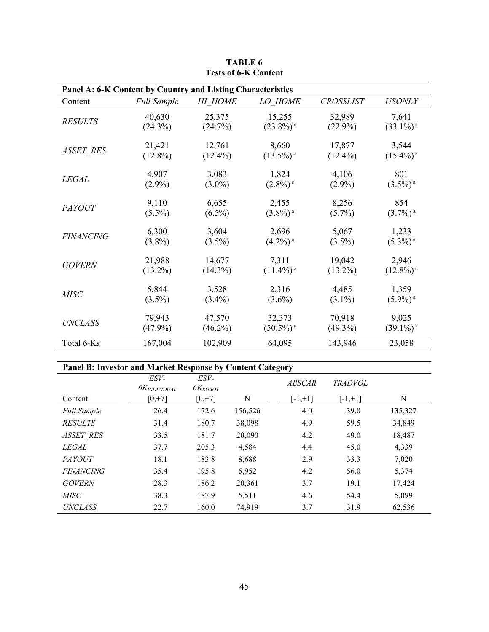| Panel A: 6-K Content by Country and Listing Characteristics |                    |                |                         |                  |                         |
|-------------------------------------------------------------|--------------------|----------------|-------------------------|------------------|-------------------------|
| Content                                                     | <b>Full Sample</b> | <b>HI HOME</b> | <b>LO HOME</b>          | <b>CROSSLIST</b> | <b>USONLY</b>           |
| <b>RESULTS</b>                                              | 40,630             | 25,375         | 15,255                  | 32,989           | 7,641                   |
|                                                             | $(24.3\%)$         | (24.7%)        | $(23.8\%)$ <sup>a</sup> | $(22.9\%)$       | $(33.1\%)$ <sup>a</sup> |
| <b>ASSET RES</b>                                            | 21,421             | 12,761         | 8,660                   | 17,877           | 3,544                   |
|                                                             | $(12.8\%)$         | $(12.4\%)$     | $(13.5\%)$ <sup>a</sup> | $(12.4\%)$       | $(15.4\%)$ <sup>a</sup> |
| LEGAL                                                       | 4,907              | 3,083          | 1,824                   | 4,106            | 801                     |
|                                                             | $(2.9\%)$          | $(3.0\%)$      | $(2.8\%)$ <sup>c</sup>  | $(2.9\%)$        | $(3.5\%)$ <sup>a</sup>  |
| <b>PAYOUT</b>                                               | 9,110              | 6,655          | 2,455                   | 8,256            | 854                     |
|                                                             | $(5.5\%)$          | $(6.5\%)$      | $(3.8\%)$ <sup>a</sup>  | $(5.7\%)$        | $(3.7\%)$ <sup>a</sup>  |
| <b>FINANCING</b>                                            | 6,300              | 3,604          | 2,696                   | 5,067            | 1,233                   |
|                                                             | $(3.8\%)$          | $(3.5\%)$      | $(4.2\%)$ <sup>a</sup>  | $(3.5\%)$        | $(5.3\%)$ <sup>a</sup>  |
| <b>GOVERN</b>                                               | 21,988             | 14,677         | 7,311                   | 19,042           | 2,946                   |
|                                                             | $(13.2\%)$         | $(14.3\%)$     | $(11.4\%)$ <sup>a</sup> | $(13.2\%)$       | $(12.8\%)$ <sup>c</sup> |
| <b>MISC</b>                                                 | 5,844              | 3,528          | 2,316                   | 4,485            | 1,359                   |
|                                                             | $(3.5\%)$          | $(3.4\%)$      | $(3.6\%)$               | $(3.1\%)$        | $(5.9\%)$ <sup>a</sup>  |
| <b>UNCLASS</b>                                              | 79,943             | 47,570         | 32,373                  | 70,918           | 9,025                   |
|                                                             | $(47.9\%)$         | $(46.2\%)$     | $(50.5\%)$ <sup>a</sup> | $(49.3\%)$       | $(39.1\%)$ <sup>a</sup> |
| Total 6-Ks                                                  | 167,004            | 102,909        | 64,095                  | 143,946          | 23,058                  |

**TABLE 6 Tests of 6-K Content**

# **Panel B: Investor and Market Response by Content Category**

|                    | $ESV-$<br><b>6K</b> <i>INDIVIDUAL</i> | $ESV -$<br>$6K_{ROROT}$ |         | <i>ABSCAR</i> | <b>TRADVOL</b> |         |
|--------------------|---------------------------------------|-------------------------|---------|---------------|----------------|---------|
| Content            | $[0, +7]$                             | $[0, +7]$               | N       | $[-1,+1]$     | $[-1,+1]$      | N       |
| <b>Full Sample</b> | 26.4                                  | 172.6                   | 156,526 | 4.0           | 39.0           | 135,327 |
| <b>RESULTS</b>     | 31.4                                  | 180.7                   | 38,098  | 4.9           | 59.5           | 34,849  |
| ASSET RES          | 33.5                                  | 181.7                   | 20,090  | 4.2           | 49.0           | 18,487  |
| <i>LEGAL</i>       | 37.7                                  | 205.3                   | 4,584   | 4.4           | 45.0           | 4,339   |
| <b>PAYOUT</b>      | 18.1                                  | 183.8                   | 8,688   | 2.9           | 33.3           | 7,020   |
| <b>FINANCING</b>   | 35.4                                  | 195.8                   | 5,952   | 4.2           | 56.0           | 5,374   |
| <b>GOVERN</b>      | 28.3                                  | 186.2                   | 20,361  | 3.7           | 19.1           | 17,424  |
| <i>MISC</i>        | 38.3                                  | 187.9                   | 5,511   | 4.6           | 54.4           | 5,099   |
| <b>UNCLASS</b>     | 22.7                                  | 160.0                   | 74,919  | 3.7           | 31.9           | 62,536  |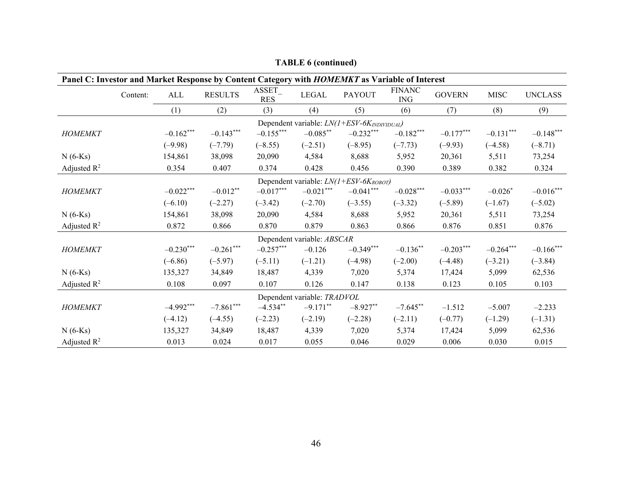| Panel C: Investor and Market Response by Content Category with <i>HOMEMKT</i> as Variable of Interest |          |             |                |                     |                            |               |                             |               |             |                |
|-------------------------------------------------------------------------------------------------------|----------|-------------|----------------|---------------------|----------------------------|---------------|-----------------------------|---------------|-------------|----------------|
|                                                                                                       | Content: | ALL         | <b>RESULTS</b> | ASSET<br><b>RES</b> | <b>LEGAL</b>               | <b>PAYOUT</b> | <b>FINANC</b><br><b>ING</b> | <b>GOVERN</b> | <b>MISC</b> | <b>UNCLASS</b> |
|                                                                                                       |          | (1)         | (2)            | (3)                 | (4)                        | (5)           | (6)                         | (7)           | (8)         | (9)            |
| Dependent variable: $LN(I+ESV-6K_{INDIVIDUAL})$                                                       |          |             |                |                     |                            |               |                             |               |             |                |
| HOMEMKT                                                                                               |          | $-0.162***$ | $-0.143***$    | $-0.155***$         | $-0.085**$                 | $-0.232***$   | $-0.182***$                 | $-0.177***$   | $-0.131***$ | $-0.148***$    |
|                                                                                                       |          | $(-9.98)$   | $(-7.79)$      | $(-8.55)$           | $(-2.51)$                  | $(-8.95)$     | $(-7.73)$                   | $(-9.93)$     | $(-4.58)$   | $(-8.71)$      |
| $N(6-Ks)$                                                                                             |          | 154,861     | 38,098         | 20,090              | 4,584                      | 8,688         | 5,952                       | 20,361        | 5,511       | 73,254         |
| Adjusted $R^2$                                                                                        |          | 0.354       | 0.407          | 0.374               | 0.428                      | 0.456         | 0.390                       | 0.389         | 0.382       | 0.324          |
| Dependent variable: $LN(I+ESV-6K_{ROBOT})$                                                            |          |             |                |                     |                            |               |                             |               |             |                |
| HOMEMKT                                                                                               |          | $-0.022***$ | $-0.012**$     | $-0.017***$         | $-0.021***$                | $-0.041***$   | $-0.028***$                 | $-0.033***$   | $-0.026*$   | $-0.016***$    |
|                                                                                                       |          | $(-6.10)$   | $(-2.27)$      | $(-3.42)$           | $(-2.70)$                  | $(-3.55)$     | $(-3.32)$                   | $(-5.89)$     | $(-1.67)$   | $(-5.02)$      |
| $N(6-Ks)$                                                                                             |          | 154,861     | 38,098         | 20,090              | 4,584                      | 8,688         | 5,952                       | 20,361        | 5,511       | 73,254         |
| Adjusted $\mathbb{R}^2$                                                                               |          | 0.872       | 0.866          | 0.870               | 0.879                      | 0.863         | 0.866                       | 0.876         | 0.851       | 0.876          |
|                                                                                                       |          |             |                |                     | Dependent variable: ABSCAR |               |                             |               |             |                |
| <b>HOMEMKT</b>                                                                                        |          | $-0.230***$ | $-0.261***$    | $-0.257***$         | $-0.126$                   | $-0.349***$   | $-0.136**$                  | $-0.203***$   | $-0.264***$ | $-0.166$ ***   |
|                                                                                                       |          | $(-6.86)$   | $(-5.97)$      | $(-5.11)$           | $(-1.21)$                  | $(-4.98)$     | $(-2.00)$                   | $(-4.48)$     | $(-3.21)$   | $(-3.84)$      |
| $N(6-Ks)$                                                                                             |          | 135,327     | 34,849         | 18,487              | 4,339                      | 7,020         | 5,374                       | 17,424        | 5,099       | 62,536         |
| Adjusted $R^2$                                                                                        |          | 0.108       | 0.097          | 0.107               | 0.126                      | 0.147         | 0.138                       | 0.123         | 0.105       | 0.103          |
| Dependent variable: TRADVOL                                                                           |          |             |                |                     |                            |               |                             |               |             |                |
| HOMEMKT                                                                                               |          | $-4.992***$ | $-7.861***$    | $-4.534**$          | $-9.171**$                 | $-8.927**$    | $-7.645**$                  | $-1.512$      | $-5.007$    | $-2.233$       |
|                                                                                                       |          | $(-4.12)$   | $(-4.55)$      | $(-2.23)$           | $(-2.19)$                  | $(-2.28)$     | $(-2.11)$                   | $(-0.77)$     | $(-1.29)$   | $(-1.31)$      |
| $N(6-Ks)$                                                                                             |          | 135,327     | 34,849         | 18,487              | 4,339                      | 7,020         | 5,374                       | 17,424        | 5,099       | 62,536         |
| Adjusted $R^2$                                                                                        |          | 0.013       | 0.024          | 0.017               | 0.055                      | 0.046         | 0.029                       | 0.006         | 0.030       | 0.015          |

**TABLE 6 (continued)**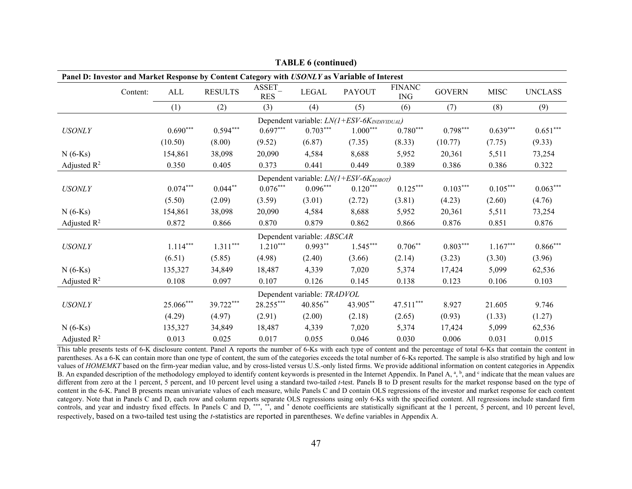| Panel D: Investor and Market Response by Content Category with USONLY as Variable of Interest |                                                 |             |                |                            |                            |               |                             |               |             |                |
|-----------------------------------------------------------------------------------------------|-------------------------------------------------|-------------|----------------|----------------------------|----------------------------|---------------|-----------------------------|---------------|-------------|----------------|
|                                                                                               | Content:                                        | ALL         | <b>RESULTS</b> | <b>ASSET</b><br><b>RES</b> | <b>LEGAL</b>               | <b>PAYOUT</b> | <b>FINANC</b><br><b>ING</b> | <b>GOVERN</b> | <b>MISC</b> | <b>UNCLASS</b> |
|                                                                                               |                                                 | (1)         | (2)            | (3)                        | (4)                        | (5)           | (6)                         | (7)           | (8)         | (9)            |
|                                                                                               | Dependent variable: $LN(I+ESV-6K_{INDIVIDUAL})$ |             |                |                            |                            |               |                             |               |             |                |
| <b>USONLY</b>                                                                                 |                                                 | $0.690***$  | $0.594***$     | $0.697***$                 | $0.703***$                 | $1.000***$    | $0.780***$                  | $0.798***$    | $0.639***$  | $0.651***$     |
|                                                                                               |                                                 | (10.50)     | (8.00)         | (9.52)                     | (6.87)                     | (7.35)        | (8.33)                      | (10.77)       | (7.75)      | (9.33)         |
| $N(6-Ks)$                                                                                     |                                                 | 154,861     | 38,098         | 20,090                     | 4,584                      | 8,688         | 5,952                       | 20,361        | 5,511       | 73,254         |
| Adjusted $R^2$                                                                                |                                                 | 0.350       | 0.405          | 0.373                      | 0.441                      | 0.449         | 0.389                       | 0.386         | 0.386       | 0.322          |
| Dependent variable: $LN(I+ESV-6K_{ROBOT})$                                                    |                                                 |             |                |                            |                            |               |                             |               |             |                |
| <b>USONLY</b>                                                                                 |                                                 | $0.074***$  | $0.044***$     | $0.076***$                 | $0.096***$                 | $0.120***$    | $0.125***$                  | $0.103***$    | $0.105***$  | $0.063***$     |
|                                                                                               |                                                 | (5.50)      | (2.09)         | (3.59)                     | (3.01)                     | (2.72)        | (3.81)                      | (4.23)        | (2.60)      | (4.76)         |
| $N(6-Ks)$                                                                                     |                                                 | 154,861     | 38,098         | 20,090                     | 4,584                      | 8,688         | 5,952                       | 20,361        | 5,511       | 73,254         |
| Adjusted $R^2$                                                                                |                                                 | 0.872       | 0.866          | 0.870                      | 0.879                      | 0.862         | 0.866                       | 0.876         | 0.851       | 0.876          |
|                                                                                               |                                                 |             |                |                            | Dependent variable: ABSCAR |               |                             |               |             |                |
| <b>USONLY</b>                                                                                 |                                                 | $1.114***$  | $1.311***$     | $1.210***$                 | $0.993**$                  | $1.545***$    | $0.706**$                   | $0.803***$    | $1.167***$  | $0.866^{***}$  |
|                                                                                               |                                                 | (6.51)      | (5.85)         | (4.98)                     | (2.40)                     | (3.66)        | (2.14)                      | (3.23)        | (3.30)      | (3.96)         |
| $N(6-Ks)$                                                                                     |                                                 | 135,327     | 34,849         | 18,487                     | 4,339                      | 7,020         | 5,374                       | 17,424        | 5,099       | 62,536         |
| Adjusted $R^2$                                                                                |                                                 | 0.108       | 0.097          | 0.107                      | 0.126                      | 0.145         | 0.138                       | 0.123         | 0.106       | 0.103          |
| Dependent variable: TRADVOL                                                                   |                                                 |             |                |                            |                            |               |                             |               |             |                |
| <b>USONLY</b>                                                                                 |                                                 | $25.066***$ | 39.722***      | $28.255***$                | 40.856**                   | 43.905**      | $47.511***$                 | 8.927         | 21.605      | 9.746          |
|                                                                                               |                                                 | (4.29)      | (4.97)         | (2.91)                     | (2.00)                     | (2.18)        | (2.65)                      | (0.93)        | (1.33)      | (1.27)         |
| $N(6-Ks)$                                                                                     |                                                 | 135,327     | 34,849         | 18,487                     | 4,339                      | 7,020         | 5,374                       | 17,424        | 5,099       | 62,536         |
| Adjusted $R^2$                                                                                |                                                 | 0.013       | 0.025          | 0.017                      | 0.055                      | 0.046         | 0.030                       | 0.006         | 0.031       | 0.015          |

**TABLE 6 (continued)**

This table presents tests of 6-K disclosure content. Panel A reports the number of 6-Ks with each type of content and the percentage of total 6-Ks that contain the content in parentheses. As a 6-K can contain more than one type of content, the sum of the categories exceeds the total number of 6-Ks reported. The sample is also stratified by high and low values of *HOMEMKT* based on the firm-year median value, and by cross-listed versus U.S.-only listed firms. We provide additional information on content categories in Appendix B. An expanded description of the methodology employed to identify content keywords is presented in the Internet Appendix. In Panel A, <sup>a</sup>, <sup>b</sup>, and <sup>c</sup> indicate that the mean values are different from zero at the 1 percent, 5 percent, and 10 percent level using a standard two-tailed *t*-test. Panels B to D present results for the market response based on the type of content in the 6-K. Panel B presents mean univariate values of each measure, while Panels C and D contain OLS regressions of the investor and market response for each content category. Note that in Panels C and D, each row and column reports separate OLS regressions using only 6-Ks with the specified content. All regressions include standard firm controls, and year and industry fixed effects. In Panels C and  $\overline{D}$ , \*\*\*, \*\*, and \* denote coefficients are statistically significant at the 1 percent, 5 percent, and 10 percent level, respectively, based on a two-tailed test using the *t*-statistics are reported in parentheses. We define variables in Appendix A.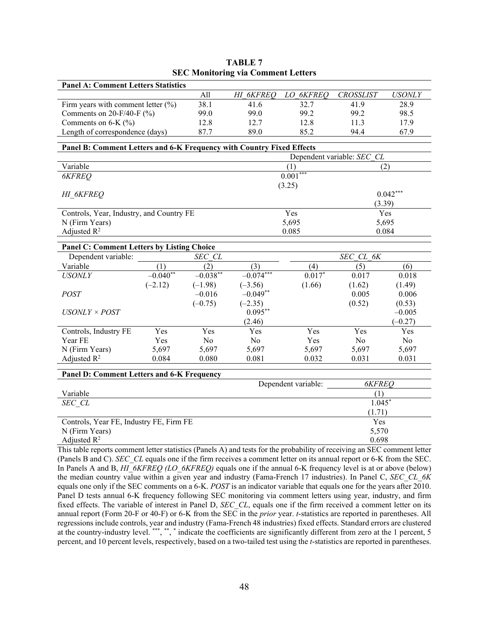| <b>Panel A: Comment Letters Statistics</b>                                                                               |                                                |             |             |                     |                  |               |  |  |  |  |
|--------------------------------------------------------------------------------------------------------------------------|------------------------------------------------|-------------|-------------|---------------------|------------------|---------------|--|--|--|--|
|                                                                                                                          |                                                | All         | HI 6KFREQ   | LO<br><b>6KFREQ</b> | <b>CROSSLIST</b> | <b>USONLY</b> |  |  |  |  |
| Firm years with comment letter $(\%)$                                                                                    | 38.1                                           | 41.6        | 32.7        | 41.9                | 28.9             |               |  |  |  |  |
| Comments on 20-F/40-F $(\%)$                                                                                             |                                                | 99.0        | 99.0        | 99.2                | 99.2             | 98.5          |  |  |  |  |
| Comments on $6-K$ (%)                                                                                                    |                                                | 12.8        | 12.7        | 12.8                | 11.3             | 17.9          |  |  |  |  |
| Length of correspondence (days)                                                                                          |                                                | 87.7        | 89.0        | 85.2                | 94.4             | 67.9          |  |  |  |  |
| Panel B: Comment Letters and 6-K Frequency with Country Fixed Effects                                                    |                                                |             |             |                     |                  |               |  |  |  |  |
| Dependent variable: SEC CL                                                                                               |                                                |             |             |                     |                  |               |  |  |  |  |
| Variable                                                                                                                 |                                                |             |             | (1)<br>(2)          |                  |               |  |  |  |  |
| <b>6KFREQ</b>                                                                                                            |                                                |             |             | $0.001***$          |                  |               |  |  |  |  |
|                                                                                                                          |                                                |             |             | (3.25)              |                  |               |  |  |  |  |
| HI 6KFREQ                                                                                                                |                                                |             |             |                     |                  | $0.042***$    |  |  |  |  |
|                                                                                                                          |                                                |             |             |                     | (3.39)           |               |  |  |  |  |
| Controls, Year, Industry, and Country FE                                                                                 |                                                |             |             | Yes                 |                  | Yes           |  |  |  |  |
| N (Firm Years)                                                                                                           |                                                |             |             | 5,695               | 5,695            |               |  |  |  |  |
| Adjusted $R^2$                                                                                                           |                                                |             |             | 0.085               |                  | 0.084         |  |  |  |  |
| <b>Panel C: Comment Letters by Listing Choice</b>                                                                        |                                                |             |             |                     |                  |               |  |  |  |  |
| Dependent variable:                                                                                                      |                                                | SEC CL      |             | SEC CL 6K           |                  |               |  |  |  |  |
| Variable                                                                                                                 | (1)                                            | (2)         | (3)         | (4)                 | (5)              | (6)           |  |  |  |  |
| <b>USONLY</b>                                                                                                            | $-0.040**$                                     | $-0.038***$ | $-0.074***$ | $0.017*$            | 0.017            | 0.018         |  |  |  |  |
|                                                                                                                          | $(-2.12)$                                      | $(-1.98)$   | $(-3.56)$   | (1.66)              | (1.62)           | (1.49)        |  |  |  |  |
| <b>POST</b>                                                                                                              |                                                | $-0.016$    | $-0.049**$  |                     | 0.005            | 0.006         |  |  |  |  |
|                                                                                                                          |                                                | $(-0.75)$   | $(-2.35)$   |                     | (0.52)           | (0.53)        |  |  |  |  |
| $USONLY \times POST$                                                                                                     |                                                |             | $0.095**$   |                     |                  | $-0.005$      |  |  |  |  |
|                                                                                                                          |                                                |             | (2.46)      |                     |                  | $(-0.27)$     |  |  |  |  |
| Controls, Industry FE                                                                                                    | Yes                                            | Yes         | Yes         | Yes                 | Yes              | Yes           |  |  |  |  |
| Year FE                                                                                                                  | Yes                                            | No          | No          | Yes                 | No               | No            |  |  |  |  |
| N (Firm Years)                                                                                                           | 5,697                                          | 5,697       | 5,697       | 5,697               | 5,697            | 5,697         |  |  |  |  |
| Adjusted $R^2$                                                                                                           | 0.084                                          | 0.080       | 0.081       | 0.032               | 0.031            | 0.031         |  |  |  |  |
| Panel D: Comment Letters and 6-K Frequency                                                                               |                                                |             |             |                     |                  |               |  |  |  |  |
| Dependent variable:<br><b>6KFREO</b>                                                                                     |                                                |             |             |                     |                  |               |  |  |  |  |
| Variable                                                                                                                 |                                                |             |             |                     | (1)              |               |  |  |  |  |
| SEC CL                                                                                                                   | $1.045*$                                       |             |             |                     |                  |               |  |  |  |  |
| (1.71)                                                                                                                   |                                                |             |             |                     |                  |               |  |  |  |  |
|                                                                                                                          | Yes<br>Controls, Year FE, Industry FE, Firm FE |             |             |                     |                  |               |  |  |  |  |
| N (Firm Years)<br>5,570                                                                                                  |                                                |             |             |                     |                  |               |  |  |  |  |
| Adjusted $R^2$<br>0.698                                                                                                  |                                                |             |             |                     |                  |               |  |  |  |  |
| This table reports comment letter statistics (Panels A) and tests for the probability of receiving an SEC comment letter |                                                |             |             |                     |                  |               |  |  |  |  |

# **TABLE 7 SEC Monitoring via Comment Letters**

This table reports comment letter statistics (Panels A) and tests for the probability of receiving an SEC comment letter (Panels B and C). *SEC\_CL* equals one if the firm receives a comment letter on its annual report or 6-K from the SEC. In Panels A and B, *HI\_6KFREQ (LO\_6KFREQ)* equals one if the annual 6-K frequency level is at or above (below) the median country value within a given year and industry (Fama-French 17 industries). In Panel C, *SEC\_CL\_6K* equals one only if the SEC comments on a 6-K. *POST* is an indicator variable that equals one for the years after 2010. Panel D tests annual 6-K frequency following SEC monitoring via comment letters using year, industry, and firm fixed effects. The variable of interest in Panel D, *SEC CL*, equals one if the firm received a comment letter on its annual report (Form 20-F or 40-F) or 6-K from the SEC in the *prior* year. *t*-statistics are reported in parentheses. All regressions include controls, year and industry (Fama-French 48 industries) fixed effects. Standard errors are clustered at the country-industry level. \*\*\*, \*\*, \* indicate the coefficients are significantly different from zero at the 1 percent, 5 percent, and 10 percent levels, respectively, based on a two-tailed test using the *t*-statistics are reported in parentheses.